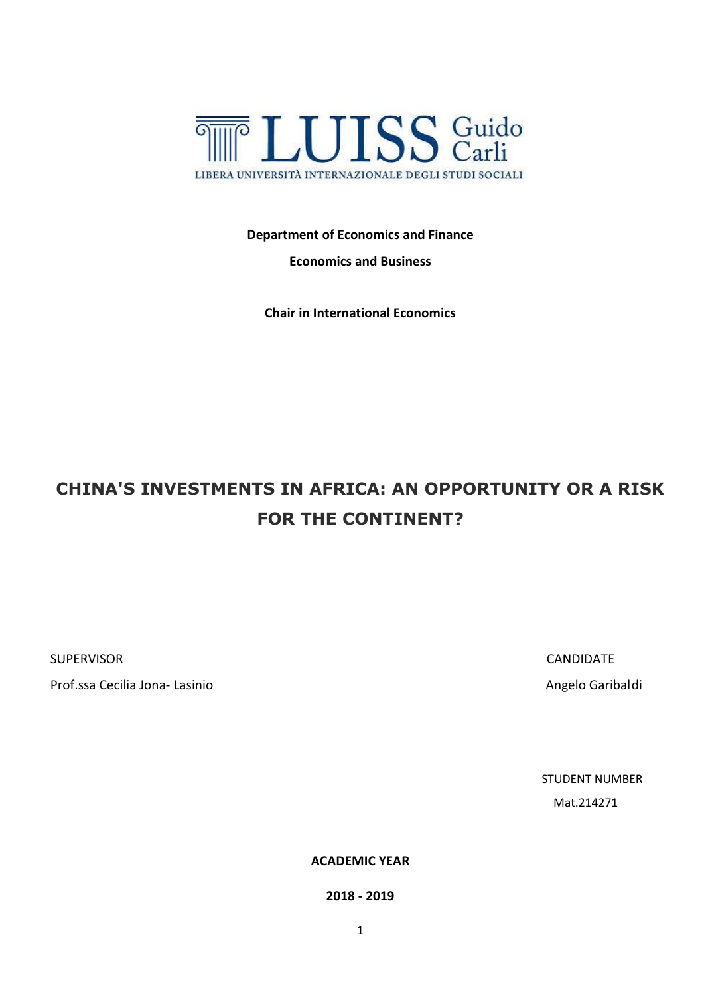

**Department of Economics and Finance**

**Economics and Business**

**Chair in International Economics**

# **CHINA'S INVESTMENTS IN AFRICA: AN OPPORTUNITY OR A RISK FOR THE CONTINENT?**

SUPERVISOR CANDIDATE

Prof.ssa Cecilia Jona- Lasinio **Angelo Garibaldi** Angelo Garibaldi

 STUDENT NUMBER Mat.214271

**ACADEMIC YEAR**

**2018 - 2019**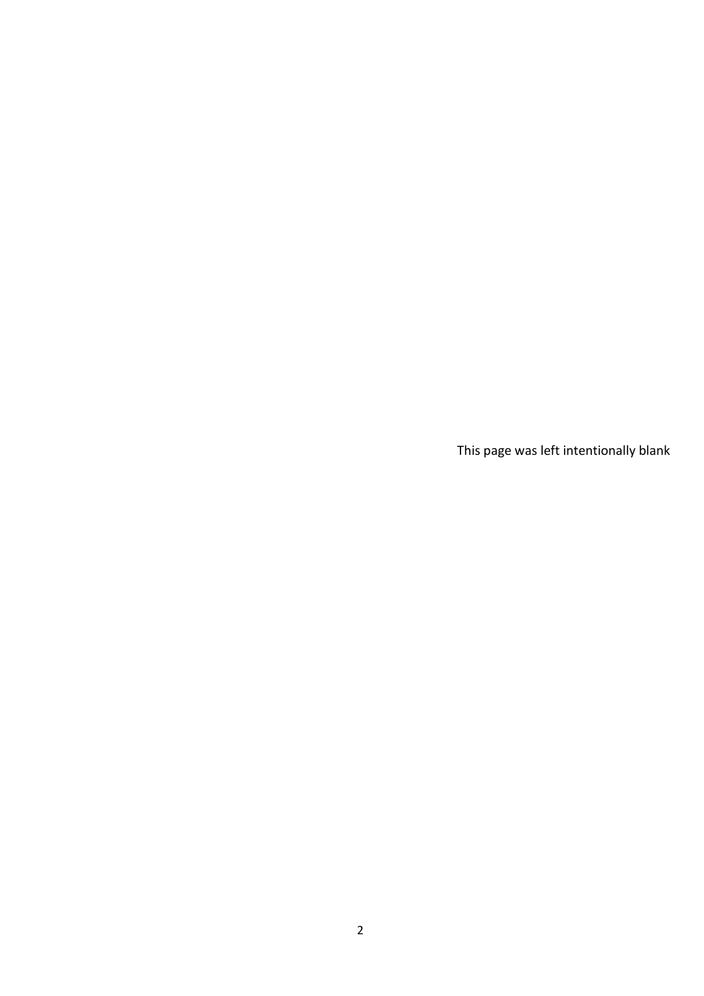This page was left intentionally blank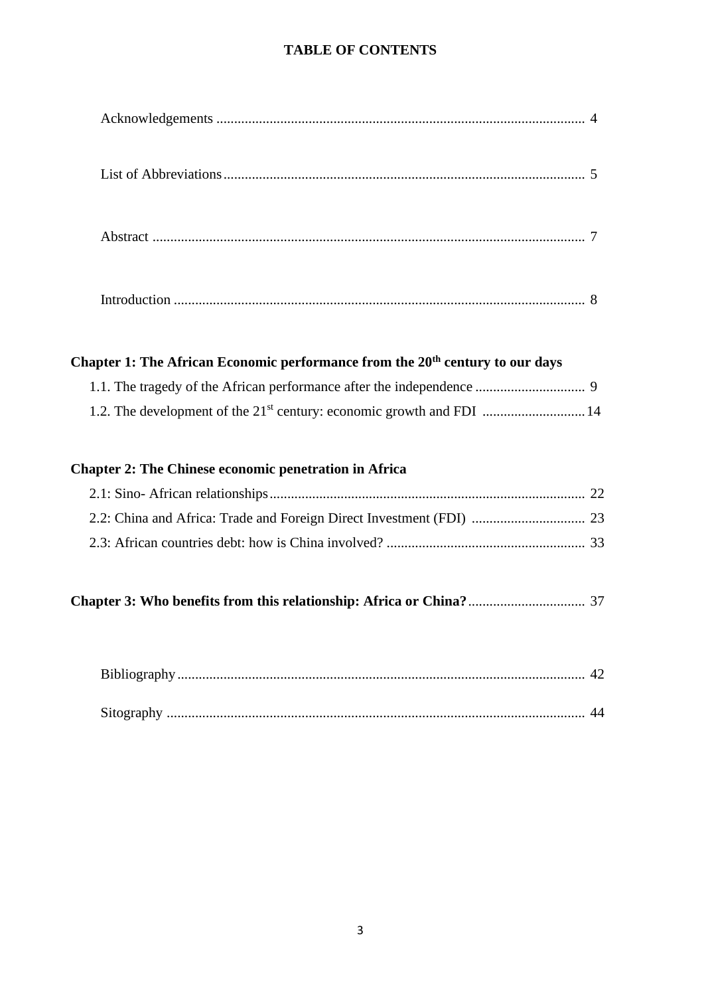# **TABLE OF CONTENTS**

# **Chapter 1: The African Economic performance from the 20th century to our days**

### **Chapter 2: The Chinese economic penetration in Africa**

# **Chapter 3: Who benefits from this relationship: Africa or China?**................................. 37

| Sitography |  |
|------------|--|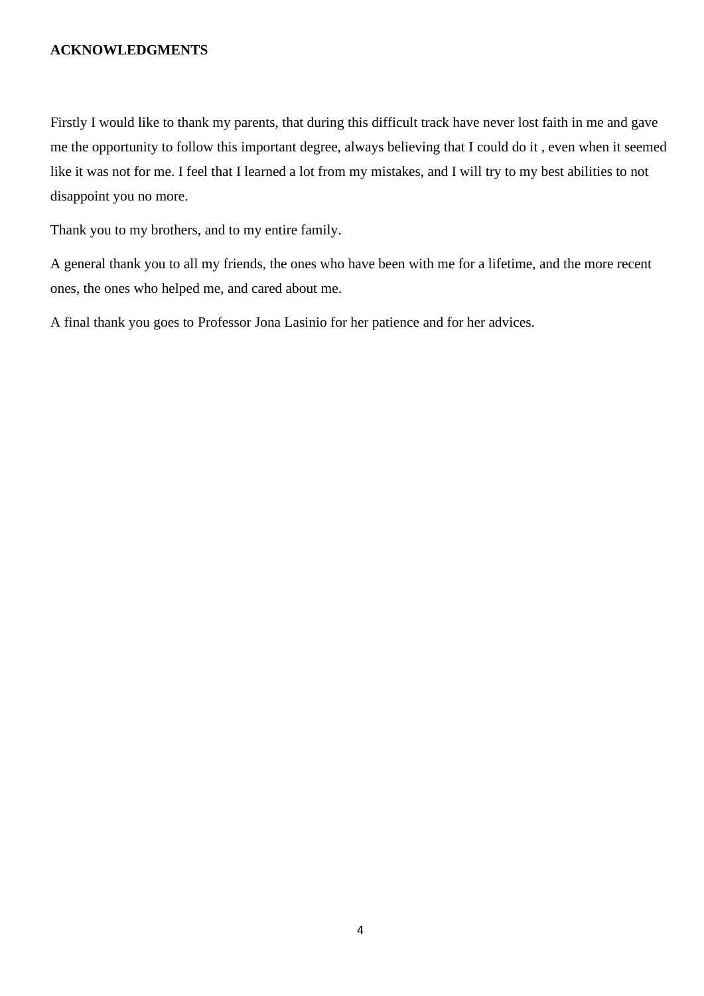#### **ACKNOWLEDGMENTS**

Firstly I would like to thank my parents, that during this difficult track have never lost faith in me and gave me the opportunity to follow this important degree, always believing that I could do it , even when it seemed like it was not for me. I feel that I learned a lot from my mistakes, and I will try to my best abilities to not disappoint you no more.

Thank you to my brothers, and to my entire family.

A general thank you to all my friends, the ones who have been with me for a lifetime, and the more recent ones, the ones who helped me, and cared about me.

A final thank you goes to Professor Jona Lasinio for her patience and for her advices.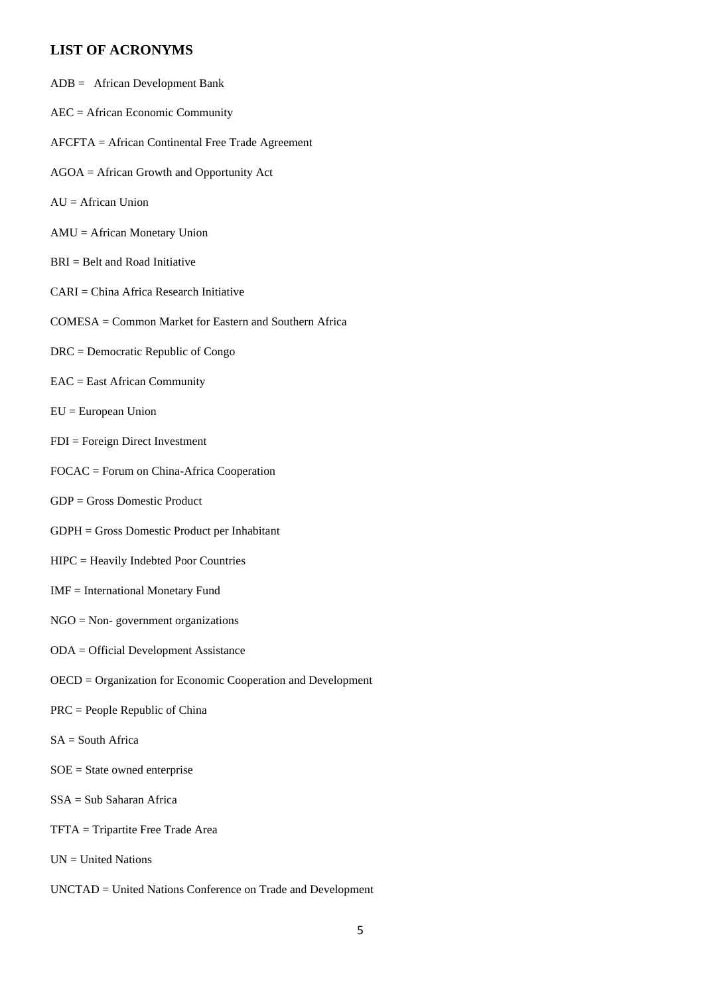#### **LIST OF ACRONYMS**

- ADB = African Development Bank
- AEC = African Economic Community
- AFCFTA = African Continental Free Trade Agreement
- AGOA = African Growth and Opportunity Act
- $AU =$  African Union
- AMU = African Monetary Union
- BRI = Belt and Road Initiative
- CARI = China Africa Research Initiative
- COMESA = Common Market for Eastern and Southern Africa
- DRC = Democratic Republic of Congo
- EAC = East African Community
- EU = European Union
- FDI = Foreign Direct Investment
- FOCAC = Forum on China-Africa Cooperation
- GDP = Gross Domestic Product
- GDPH = Gross Domestic Product per Inhabitant
- HIPC = Heavily Indebted Poor Countries
- IMF = International Monetary Fund
- NGO = Non- government organizations
- ODA = Official Development Assistance
- OECD = Organization for Economic Cooperation and Development
- PRC = People Republic of China
- $SA = South Africa$
- SOE = State owned enterprise
- SSA = Sub Saharan Africa
- TFTA = Tripartite Free Trade Area
- UN = United Nations
- UNCTAD = United Nations Conference on Trade and Development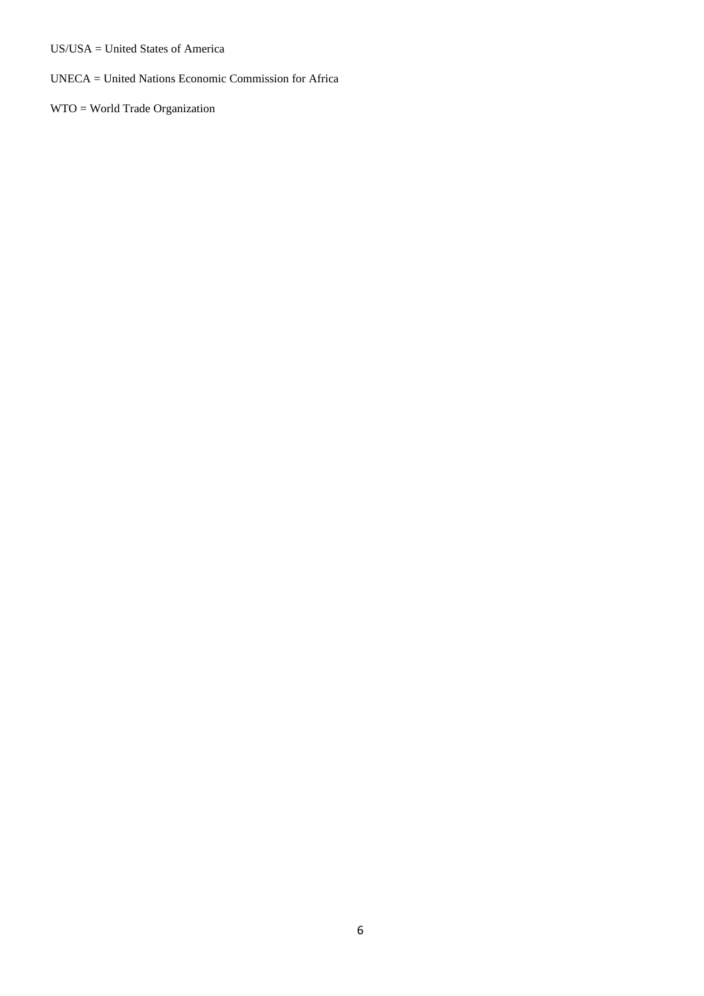#### US/USA = United States of America

UNECA = United Nations Economic Commission for Africa

WTO = World Trade Organization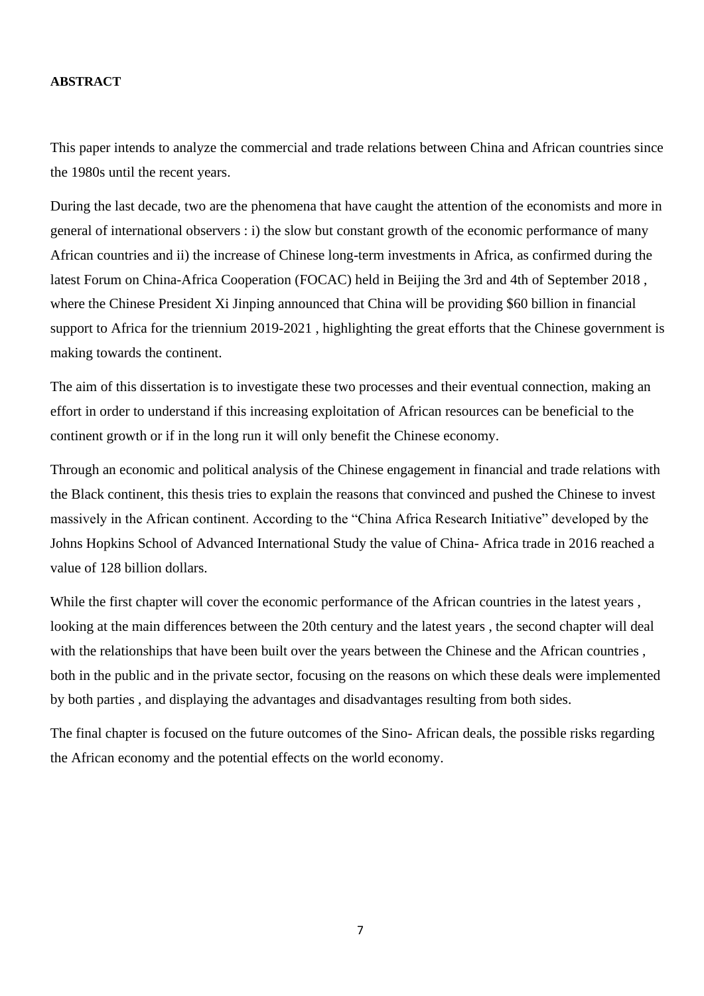#### **ABSTRACT**

This paper intends to analyze the commercial and trade relations between China and African countries since the 1980s until the recent years.

During the last decade, two are the phenomena that have caught the attention of the economists and more in general of international observers : i) the slow but constant growth of the economic performance of many African countries and ii) the increase of Chinese long-term investments in Africa, as confirmed during the latest Forum on China-Africa Cooperation (FOCAC) held in Beijing the 3rd and 4th of September 2018 , where the Chinese President Xi Jinping announced that China will be providing \$60 billion in financial support to Africa for the triennium 2019-2021 , highlighting the great efforts that the Chinese government is making towards the continent.

The aim of this dissertation is to investigate these two processes and their eventual connection, making an effort in order to understand if this increasing exploitation of African resources can be beneficial to the continent growth or if in the long run it will only benefit the Chinese economy.

Through an economic and political analysis of the Chinese engagement in financial and trade relations with the Black continent, this thesis tries to explain the reasons that convinced and pushed the Chinese to invest massively in the African continent. According to the "China Africa Research Initiative" developed by the Johns Hopkins School of Advanced International Study the value of China- Africa trade in 2016 reached a value of 128 billion dollars.

While the first chapter will cover the economic performance of the African countries in the latest years, looking at the main differences between the 20th century and the latest years , the second chapter will deal with the relationships that have been built over the years between the Chinese and the African countries, both in the public and in the private sector, focusing on the reasons on which these deals were implemented by both parties , and displaying the advantages and disadvantages resulting from both sides.

The final chapter is focused on the future outcomes of the Sino- African deals, the possible risks regarding the African economy and the potential effects on the world economy.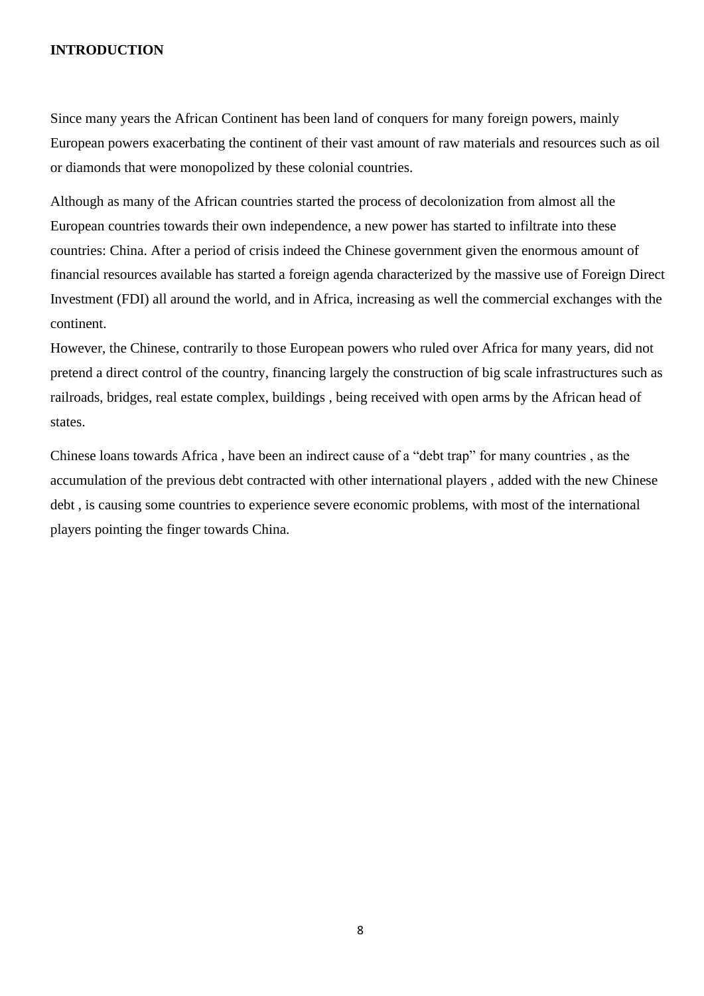#### **INTRODUCTION**

Since many years the African Continent has been land of conquers for many foreign powers, mainly European powers exacerbating the continent of their vast amount of raw materials and resources such as oil or diamonds that were monopolized by these colonial countries.

Although as many of the African countries started the process of decolonization from almost all the European countries towards their own independence, a new power has started to infiltrate into these countries: China. After a period of crisis indeed the Chinese government given the enormous amount of financial resources available has started a foreign agenda characterized by the massive use of Foreign Direct Investment (FDI) all around the world, and in Africa, increasing as well the commercial exchanges with the continent.

However, the Chinese, contrarily to those European powers who ruled over Africa for many years, did not pretend a direct control of the country, financing largely the construction of big scale infrastructures such as railroads, bridges, real estate complex, buildings , being received with open arms by the African head of states.

Chinese loans towards Africa , have been an indirect cause of a "debt trap" for many countries , as the accumulation of the previous debt contracted with other international players , added with the new Chinese debt , is causing some countries to experience severe economic problems, with most of the international players pointing the finger towards China.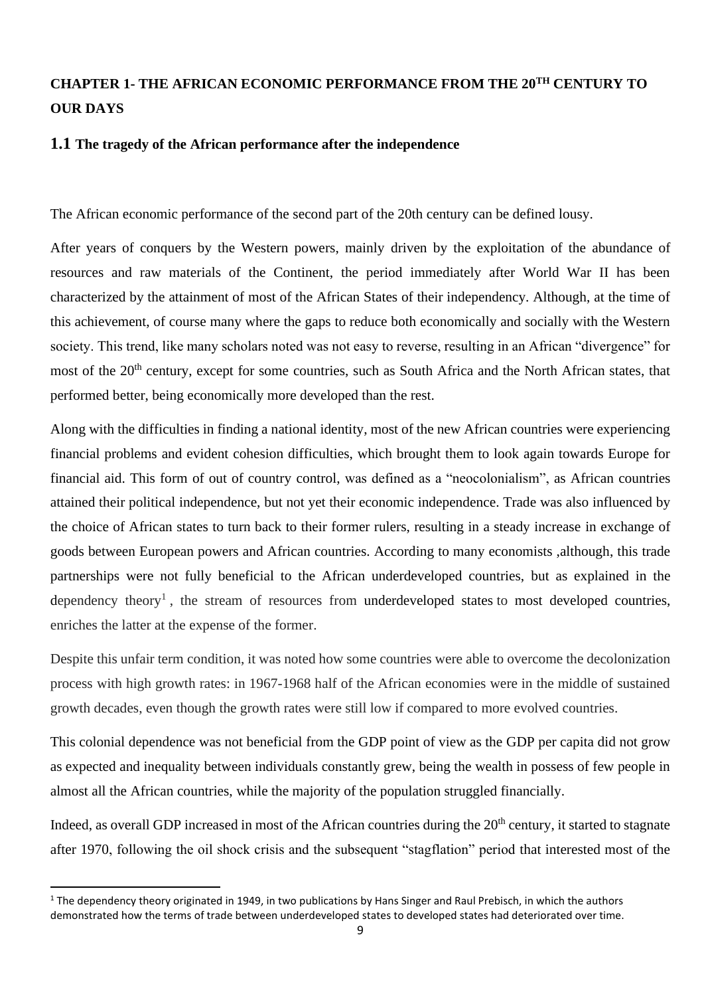# **CHAPTER 1- THE AFRICAN ECONOMIC PERFORMANCE FROM THE 20TH CENTURY TO OUR DAYS**

#### **1.1 The tragedy of the African performance after the independence**

The African economic performance of the second part of the 20th century can be defined lousy.

After years of conquers by the Western powers, mainly driven by the exploitation of the abundance of resources and raw materials of the Continent, the period immediately after World War II has been characterized by the attainment of most of the African States of their independency. Although, at the time of this achievement, of course many where the gaps to reduce both economically and socially with the Western society. This trend, like many scholars noted was not easy to reverse, resulting in an African "divergence" for most of the 20<sup>th</sup> century, except for some countries, such as South Africa and the North African states, that performed better, being economically more developed than the rest.

Along with the difficulties in finding a national identity, most of the new African countries were experiencing financial problems and evident cohesion difficulties, which brought them to look again towards Europe for financial aid. This form of out of country control, was defined as a "neocolonialism", as African countries attained their political independence, but not yet their economic independence. Trade was also influenced by the choice of African states to turn back to their former rulers, resulting in a steady increase in exchange of goods between European powers and African countries. According to many economists ,although, this trade partnerships were not fully beneficial to the African underdeveloped countries, but as explained in the dependency theory<sup>1</sup>, the stream of resources from [underdeveloped states](https://en.wikipedia.org/wiki/Developing_country) to most developed countries, enriches the latter at the expense of the former.

Despite this unfair term condition, it was noted how some countries were able to overcome the decolonization process with high growth rates: in 1967-1968 half of the African economies were in the middle of sustained growth decades, even though the growth rates were still low if compared to more evolved countries.

This colonial dependence was not beneficial from the GDP point of view as the GDP per capita did not grow as expected and inequality between individuals constantly grew, being the wealth in possess of few people in almost all the African countries, while the majority of the population struggled financially.

Indeed, as overall GDP increased in most of the African countries during the  $20<sup>th</sup>$  century, it started to stagnate after 1970, following the oil shock crisis and the subsequent "stagflation" period that interested most of the

<sup>&</sup>lt;sup>1</sup> The dependency theory originated in 1949, in two publications by Hans Singer and Raul Prebisch, in which the authors demonstrated how the terms of trade between underdeveloped states to developed states had deteriorated over time.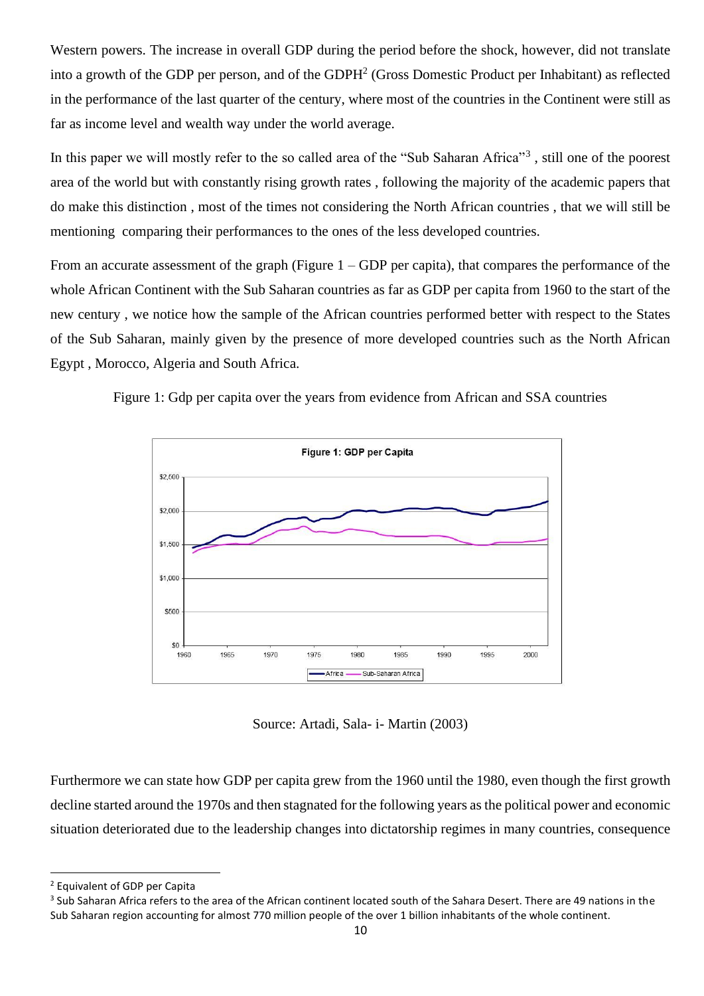Western powers. The increase in overall GDP during the period before the shock, however, did not translate into a growth of the GDP per person, and of the  $GDPH<sup>2</sup>$  (Gross Domestic Product per Inhabitant) as reflected in the performance of the last quarter of the century, where most of the countries in the Continent were still as far as income level and wealth way under the world average.

In this paper we will mostly refer to the so called area of the "Sub Saharan Africa"<sup>3</sup>, still one of the poorest area of the world but with constantly rising growth rates , following the majority of the academic papers that do make this distinction , most of the times not considering the North African countries , that we will still be mentioning comparing their performances to the ones of the less developed countries.

From an accurate assessment of the graph (Figure  $1 - GDP$  per capita), that compares the performance of the whole African Continent with the Sub Saharan countries as far as GDP per capita from 1960 to the start of the new century , we notice how the sample of the African countries performed better with respect to the States of the Sub Saharan, mainly given by the presence of more developed countries such as the North African Egypt , Morocco, Algeria and South Africa.



Figure 1: Gdp per capita over the years from evidence from African and SSA countries

Source: Artadi, Sala- i- Martin (2003)

Furthermore we can state how GDP per capita grew from the 1960 until the 1980, even though the first growth decline started around the 1970s and then stagnated for the following years as the political power and economic situation deteriorated due to the leadership changes into dictatorship regimes in many countries, consequence

<sup>2</sup> Equivalent of GDP per Capita

 $3$  Sub Saharan Africa refers to the area of the African continent located south of the Sahara Desert. There are 49 nations in the Sub Saharan region accounting for almost 770 million people of the over 1 billion inhabitants of the whole continent.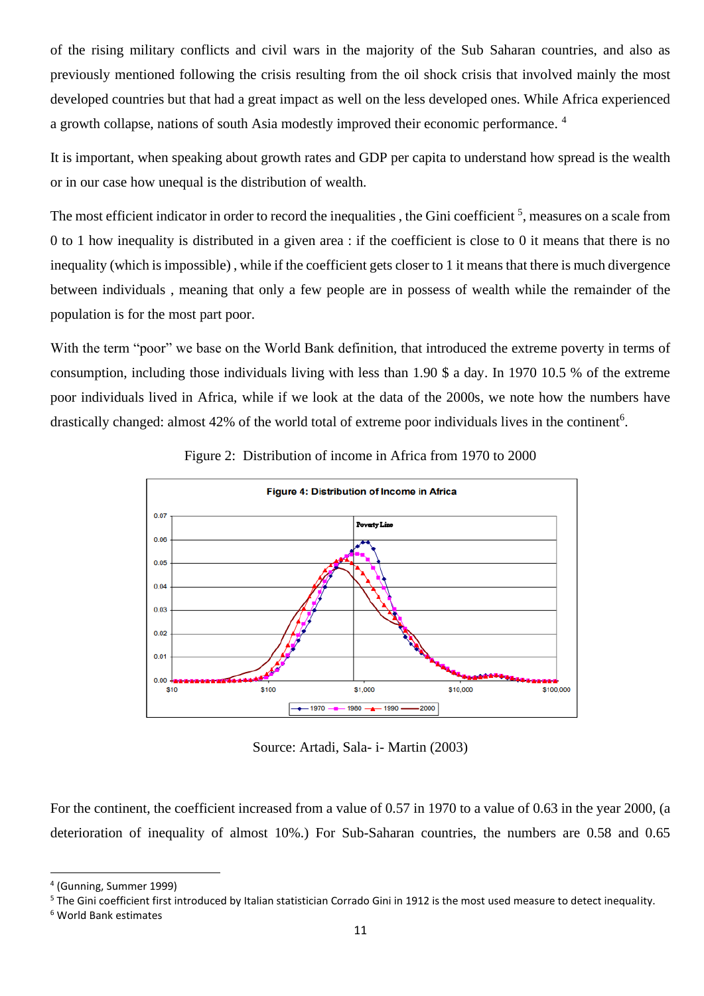of the rising military conflicts and civil wars in the majority of the Sub Saharan countries, and also as previously mentioned following the crisis resulting from the oil shock crisis that involved mainly the most developed countries but that had a great impact as well on the less developed ones. While Africa experienced a growth collapse, nations of south Asia modestly improved their economic performance.<sup>4</sup>

It is important, when speaking about growth rates and GDP per capita to understand how spread is the wealth or in our case how unequal is the distribution of wealth.

The most efficient indicator in order to record the inequalities, the Gini coefficient <sup>5</sup>, measures on a scale from 0 to 1 how inequality is distributed in a given area : if the coefficient is close to 0 it means that there is no inequality (which is impossible) , while if the coefficient gets closer to 1 it means that there is much divergence between individuals , meaning that only a few people are in possess of wealth while the remainder of the population is for the most part poor.

With the term "poor" we base on the World Bank definition, that introduced the extreme poverty in terms of consumption, including those individuals living with less than 1.90 \$ a day. In 1970 10.5 % of the extreme poor individuals lived in Africa, while if we look at the data of the 2000s, we note how the numbers have drastically changed: almost 42% of the world total of extreme poor individuals lives in the continent<sup>6</sup>.



#### Figure 2: Distribution of income in Africa from 1970 to 2000

Source: Artadi, Sala- i- Martin (2003)

For the continent, the coefficient increased from a value of 0.57 in 1970 to a value of 0.63 in the year 2000, (a deterioration of inequality of almost 10%.) For Sub-Saharan countries, the numbers are 0.58 and 0.65

<sup>4</sup> (Gunning, Summer 1999)

<sup>&</sup>lt;sup>5</sup> The Gini coefficient first introduced by Italian statistician Corrado Gini in 1912 is the most used measure to detect inequality.

<sup>6</sup> World Bank estimates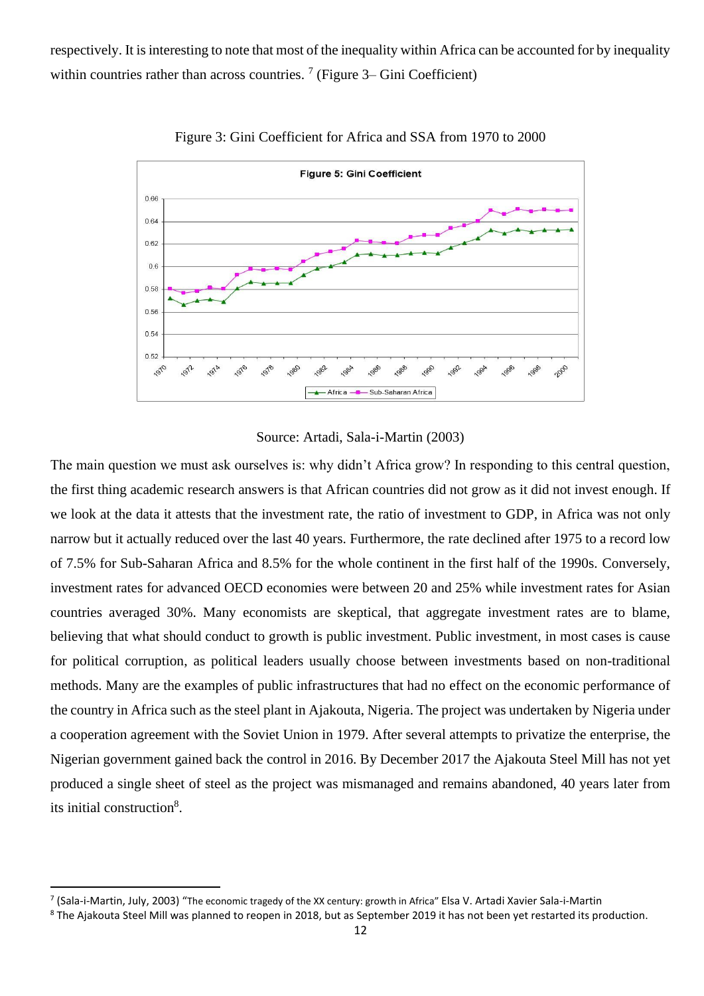respectively. It is interesting to note that most of the inequality within Africa can be accounted for by inequality within countries rather than across countries.  $7$  (Figure 3– Gini Coefficient)



Figure 3: Gini Coefficient for Africa and SSA from 1970 to 2000

#### Source: Artadi, Sala-i-Martin (2003)

The main question we must ask ourselves is: why didn't Africa grow? In responding to this central question, the first thing academic research answers is that African countries did not grow as it did not invest enough. If we look at the data it attests that the investment rate, the ratio of investment to GDP, in Africa was not only narrow but it actually reduced over the last 40 years. Furthermore, the rate declined after 1975 to a record low of 7.5% for Sub-Saharan Africa and 8.5% for the whole continent in the first half of the 1990s. Conversely, investment rates for advanced OECD economies were between 20 and 25% while investment rates for Asian countries averaged 30%. Many economists are skeptical, that aggregate investment rates are to blame, believing that what should conduct to growth is public investment. Public investment, in most cases is cause for political corruption, as political leaders usually choose between investments based on non-traditional methods. Many are the examples of public infrastructures that had no effect on the economic performance of the country in Africa such as the steel plant in Ajakouta, Nigeria. The project was undertaken by Nigeria under a cooperation agreement with the Soviet Union in 1979. After several attempts to privatize the enterprise, the Nigerian government gained back the control in 2016. By December 2017 the Ajakouta Steel Mill has not yet produced a single sheet of steel as the project was mismanaged and remains abandoned, 40 years later from its initial construction<sup>8</sup>.

 $^7$  (Sala-i-Martin, July, 2003) "The economic tragedy of the XX century: growth in Africa" Elsa V. Artadi Xavier Sala-i-Martin

<sup>&</sup>lt;sup>8</sup> The Ajakouta Steel Mill was planned to reopen in 2018, but as September 2019 it has not been yet restarted its production.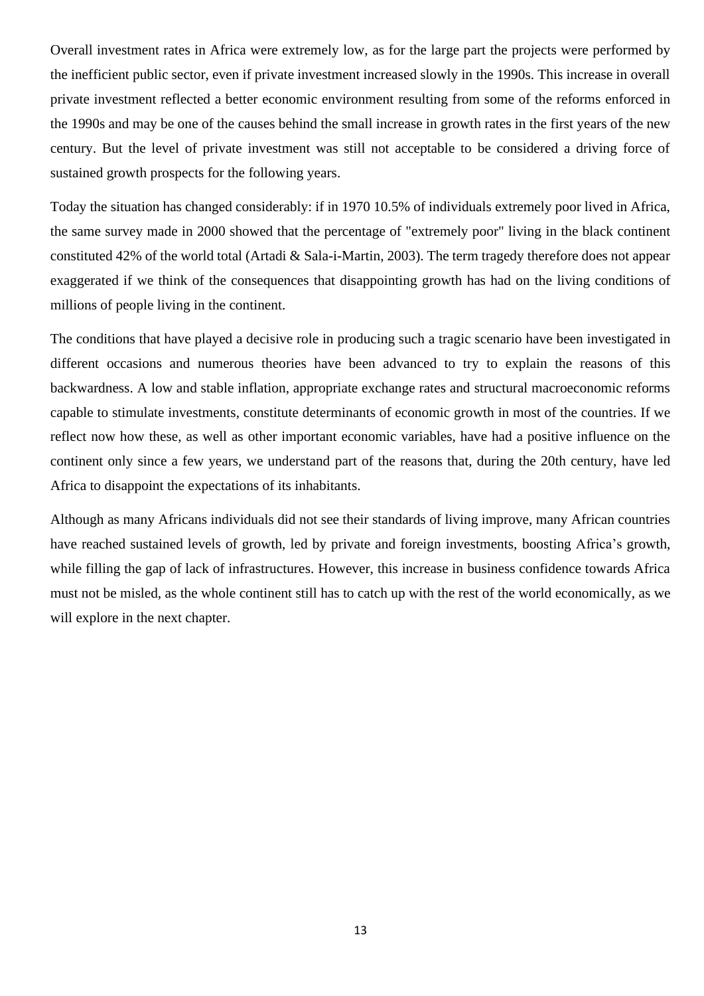Overall investment rates in Africa were extremely low, as for the large part the projects were performed by the inefficient public sector, even if private investment increased slowly in the 1990s. This increase in overall private investment reflected a better economic environment resulting from some of the reforms enforced in the 1990s and may be one of the causes behind the small increase in growth rates in the first years of the new century. But the level of private investment was still not acceptable to be considered a driving force of sustained growth prospects for the following years.

Today the situation has changed considerably: if in 1970 10.5% of individuals extremely poor lived in Africa, the same survey made in 2000 showed that the percentage of "extremely poor" living in the black continent constituted 42% of the world total (Artadi & Sala-i-Martin, 2003). The term tragedy therefore does not appear exaggerated if we think of the consequences that disappointing growth has had on the living conditions of millions of people living in the continent.

The conditions that have played a decisive role in producing such a tragic scenario have been investigated in different occasions and numerous theories have been advanced to try to explain the reasons of this backwardness. A low and stable inflation, appropriate exchange rates and structural macroeconomic reforms capable to stimulate investments, constitute determinants of economic growth in most of the countries. If we reflect now how these, as well as other important economic variables, have had a positive influence on the continent only since a few years, we understand part of the reasons that, during the 20th century, have led Africa to disappoint the expectations of its inhabitants.

Although as many Africans individuals did not see their standards of living improve, many African countries have reached sustained levels of growth, led by private and foreign investments, boosting Africa's growth, while filling the gap of lack of infrastructures. However, this increase in business confidence towards Africa must not be misled, as the whole continent still has to catch up with the rest of the world economically, as we will explore in the next chapter.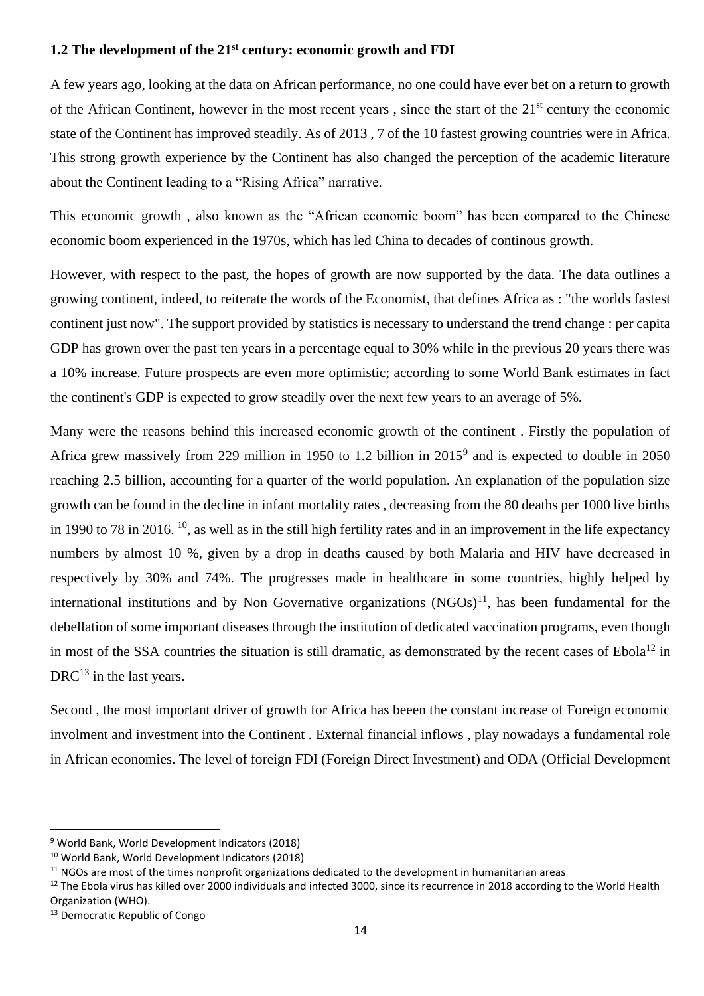#### **1.2 The development of the 21st century: economic growth and FDI**

A few years ago, looking at the data on African performance, no one could have ever bet on a return to growth of the African Continent, however in the most recent years , since the start of the 21st century the economic state of the Continent has improved steadily. As of 2013 , 7 of the 10 fastest growing countries were in Africa. This strong growth experience by the Continent has also changed the perception of the academic literature about the Continent leading to a "Rising Africa" narrative.

This economic growth , also known as the "African economic boom" has been compared to the Chinese economic boom experienced in the 1970s, which has led China to decades of continous growth.

However, with respect to the past, the hopes of growth are now supported by the data. The data outlines a growing continent, indeed, to reiterate the words of the Economist, that defines Africa as : "the worlds fastest continent just now". The support provided by statistics is necessary to understand the trend change : per capita GDP has grown over the past ten years in a percentage equal to 30% while in the previous 20 years there was a 10% increase. Future prospects are even more optimistic; according to some World Bank estimates in fact the continent's GDP is expected to grow steadily over the next few years to an average of 5%.

Many were the reasons behind this increased economic growth of the continent . Firstly the population of Africa grew massively from 229 million in 1950 to 1.2 billion in 2015<sup>9</sup> and is expected to double in 2050 reaching 2.5 billion, accounting for a quarter of the world population. An explanation of the population size growth can be found in the decline in infant mortality rates , decreasing from the 80 deaths per 1000 live births in 1990 to 78 in 2016. <sup>10</sup>, as well as in the still high fertility rates and in an improvement in the life expectancy numbers by almost 10 %, given by a drop in deaths caused by both Malaria and HIV have decreased in respectively by 30% and 74%. The progresses made in healthcare in some countries, highly helped by international institutions and by Non Governative organizations  $(NGOs)^{11}$ , has been fundamental for the debellation of some important diseases through the institution of dedicated vaccination programs, even though in most of the SSA countries the situation is still dramatic, as demonstrated by the recent cases of Ebola<sup>12</sup> in  $DRC^{13}$  in the last years.

Second , the most important driver of growth for Africa has beeen the constant increase of Foreign economic involment and investment into the Continent . External financial inflows , play nowadays a fundamental role in African economies. The level of foreign FDI (Foreign Direct Investment) and ODA (Official Development

<sup>9</sup> World Bank, World Development Indicators (2018)

<sup>10</sup> World Bank, World Development Indicators (2018)

<sup>&</sup>lt;sup>11</sup> NGOs are most of the times nonprofit organizations dedicated to the development in humanitarian areas

<sup>&</sup>lt;sup>12</sup> The Ebola virus has killed over 2000 individuals and infected 3000, since its recurrence in 2018 according to the World Health Organization (WHO).

<sup>&</sup>lt;sup>13</sup> Democratic Republic of Congo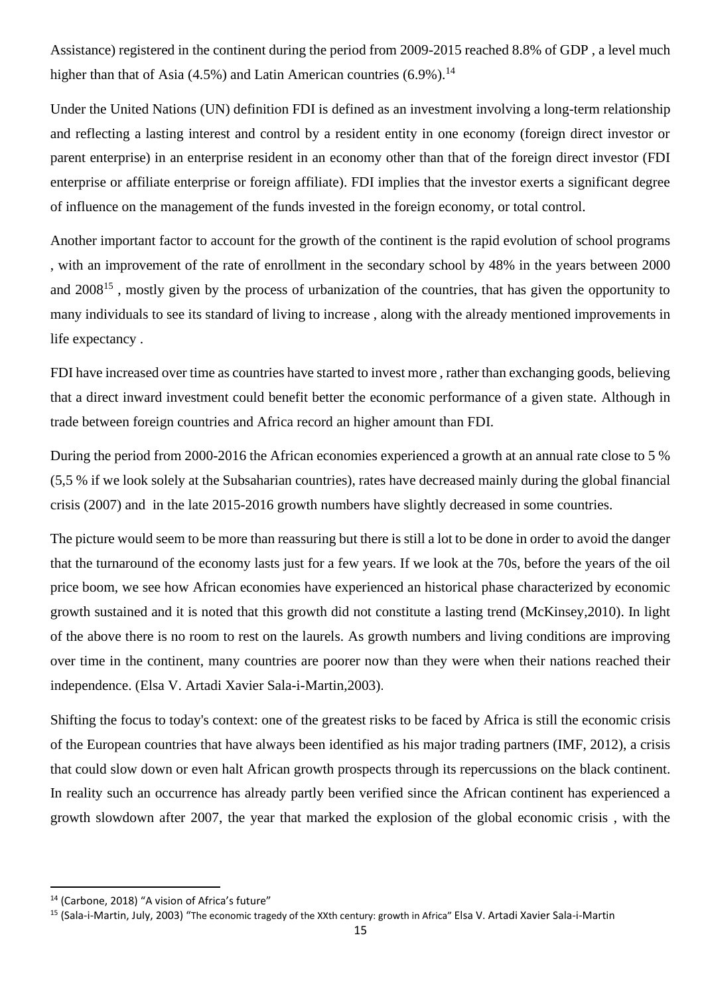Assistance) registered in the continent during the period from 2009-2015 reached 8.8% of GDP , a level much higher than that of Asia  $(4.5\%)$  and Latin American countries  $(6.9\%)$ <sup>14</sup>

Under the United Nations (UN) definition FDI is defined as an investment involving a long-term relationship and reflecting a lasting interest and control by a resident entity in one economy (foreign direct investor or parent enterprise) in an enterprise resident in an economy other than that of the foreign direct investor (FDI enterprise or affiliate enterprise or foreign affiliate). FDI implies that the investor exerts a significant degree of influence on the management of the funds invested in the foreign economy, or total control.

Another important factor to account for the growth of the continent is the rapid evolution of school programs , with an improvement of the rate of enrollment in the secondary school by 48% in the years between 2000 and 2008<sup>15</sup>, mostly given by the process of urbanization of the countries, that has given the opportunity to many individuals to see its standard of living to increase , along with the already mentioned improvements in life expectancy .

FDI have increased over time as countries have started to invest more , rather than exchanging goods, believing that a direct inward investment could benefit better the economic performance of a given state. Although in trade between foreign countries and Africa record an higher amount than FDI.

During the period from 2000-2016 the African economies experienced a growth at an annual rate close to 5 % (5,5 % if we look solely at the Subsaharian countries), rates have decreased mainly during the global financial crisis (2007) and in the late 2015-2016 growth numbers have slightly decreased in some countries.

The picture would seem to be more than reassuring but there is still a lot to be done in order to avoid the danger that the turnaround of the economy lasts just for a few years. If we look at the 70s, before the years of the oil price boom, we see how African economies have experienced an historical phase characterized by economic growth sustained and it is noted that this growth did not constitute a lasting trend (McKinsey,2010). In light of the above there is no room to rest on the laurels. As growth numbers and living conditions are improving over time in the continent, many countries are poorer now than they were when their nations reached their independence. (Elsa V. Artadi Xavier Sala-i-Martin,2003).

Shifting the focus to today's context: one of the greatest risks to be faced by Africa is still the economic crisis of the European countries that have always been identified as his major trading partners (IMF, 2012), a crisis that could slow down or even halt African growth prospects through its repercussions on the black continent. In reality such an occurrence has already partly been verified since the African continent has experienced a growth slowdown after 2007, the year that marked the explosion of the global economic crisis , with the

<sup>14</sup> (Carbone, 2018) "A vision of Africa's future"

<sup>15</sup> (Sala-i-Martin, July, 2003) "The economic tragedy of the XXth century: growth in Africa" Elsa V. Artadi Xavier Sala-i-Martin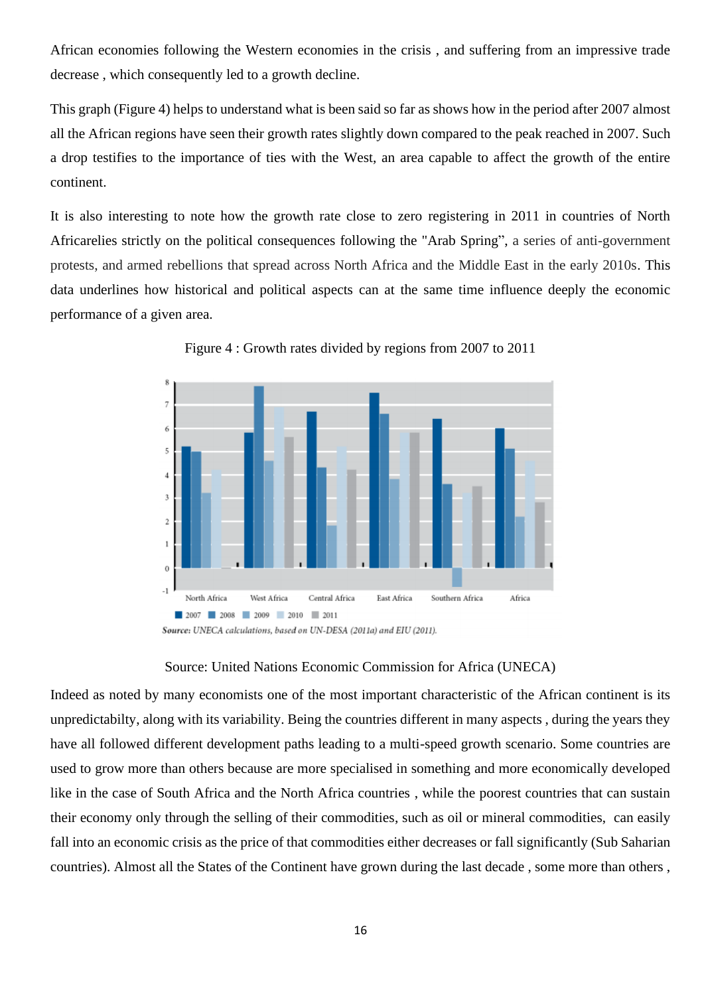African economies following the Western economies in the crisis , and suffering from an impressive trade decrease , which consequently led to a growth decline.

This graph (Figure 4) helps to understand what is been said so far as shows how in the period after 2007 almost all the African regions have seen their growth rates slightly down compared to the peak reached in 2007. Such a drop testifies to the importance of ties with the West, an area capable to affect the growth of the entire continent.

It is also interesting to note how the growth rate close to zero registering in 2011 in countries of North Africarelies strictly on the political consequences following the "Arab Spring", a series of anti-government protests, and armed rebellions that spread across North Africa and the Middle East in the early 2010s. This data underlines how historical and political aspects can at the same time influence deeply the economic performance of a given area.



Figure 4 : Growth rates divided by regions from 2007 to 2011

#### Source: United Nations Economic Commission for Africa (UNECA)

Indeed as noted by many economists one of the most important characteristic of the African continent is its unpredictabilty, along with its variability. Being the countries different in many aspects , during the years they have all followed different development paths leading to a multi-speed growth scenario. Some countries are used to grow more than others because are more specialised in something and more economically developed like in the case of South Africa and the North Africa countries , while the poorest countries that can sustain their economy only through the selling of their commodities, such as oil or mineral commodities, can easily fall into an economic crisis as the price of that commodities either decreases or fall significantly (Sub Saharian countries). Almost all the States of the Continent have grown during the last decade , some more than others ,

Source: UNECA calculations, based on UN-DESA (2011a) and EIU (2011).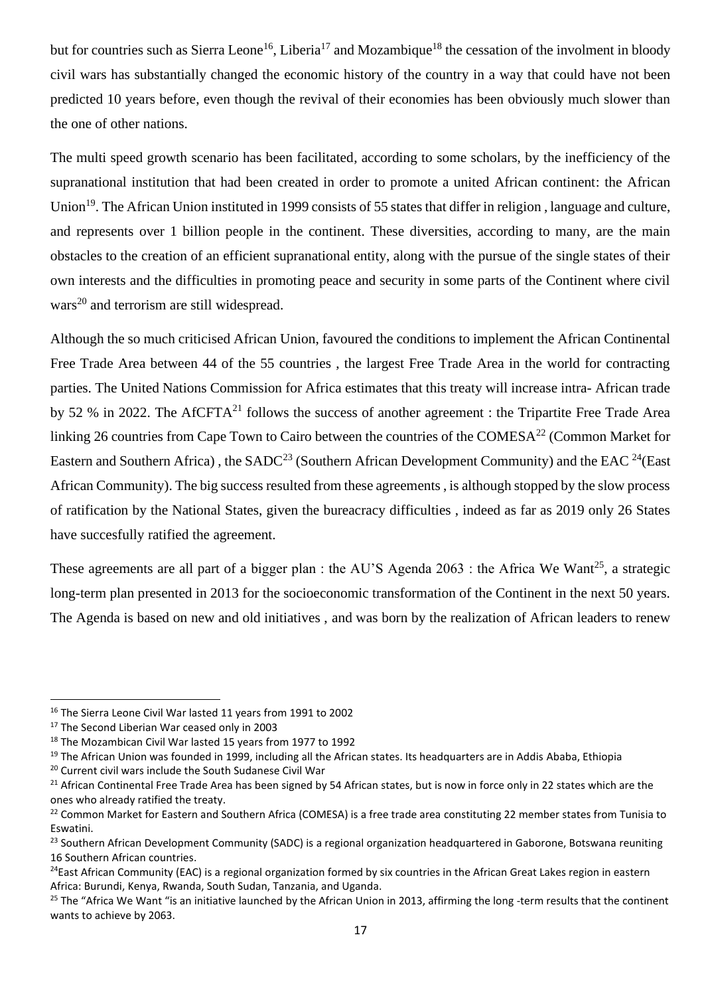but for countries such as Sierra Leone<sup>16</sup>, Liberia<sup>17</sup> and Mozambique<sup>18</sup> the cessation of the involment in bloody civil wars has substantially changed the economic history of the country in a way that could have not been predicted 10 years before, even though the revival of their economies has been obviously much slower than the one of other nations.

The multi speed growth scenario has been facilitated, according to some scholars, by the inefficiency of the supranational institution that had been created in order to promote a united African continent: the African Union<sup>19</sup>. The African Union instituted in 1999 consists of 55 states that differ in religion, language and culture, and represents over 1 billion people in the continent. These diversities, according to many, are the main obstacles to the creation of an efficient supranational entity, along with the pursue of the single states of their own interests and the difficulties in promoting peace and security in some parts of the Continent where civil wars<sup>20</sup> and terrorism are still widespread.

Although the so much criticised African Union, favoured the conditions to implement the African Continental Free Trade Area between 44 of the 55 countries , the largest Free Trade Area in the world for contracting parties. The United Nations Commission for Africa estimates that this treaty will increase intra- African trade by 52 % in 2022. The AfCFTA<sup>21</sup> follows the success of another agreement : the Tripartite Free Trade Area linking 26 countries from Cape Town to Cairo between the countries of the COMESA<sup>22</sup> (Common Market for Eastern and Southern Africa), the SADC<sup>23</sup> (Southern African Development Community) and the EAC <sup>24</sup> (East African Community). The big success resulted from these agreements , is although stopped by the slow process of ratification by the National States, given the bureacracy difficulties , indeed as far as 2019 only 26 States have succesfully ratified the agreement.

These agreements are all part of a bigger plan : the AU'S Agenda  $2063$  : the Africa We Want<sup>25</sup>, a strategic long-term plan presented in 2013 for the socioeconomic transformation of the Continent in the next 50 years. The Agenda is based on new and old initiatives , and was born by the realization of African leaders to renew

<sup>16</sup> The Sierra Leone Civil War lasted 11 years from 1991 to 2002

<sup>&</sup>lt;sup>17</sup> The Second Liberian War ceased only in 2003

<sup>&</sup>lt;sup>18</sup> The Mozambican Civil War lasted 15 years from 1977 to 1992

<sup>&</sup>lt;sup>19</sup> The African Union was founded in 1999, including all the African states. Its headquarters are in Addis Ababa, Ethiopia

<sup>20</sup> Current civil wars include the South Sudanese Civil War

<sup>&</sup>lt;sup>21</sup> African Continental Free Trade Area has been signed by 54 African states, but is now in force only in 22 states which are the ones who already ratified the treaty.

<sup>&</sup>lt;sup>22</sup> Common Market for Eastern and Southern Africa (COMESA) is a free trade area constituting 22 member states from Tunisia to Eswatini.

<sup>&</sup>lt;sup>23</sup> Southern African Development Community (SADC) is a regional organization headquartered in Gaborone, Botswana reuniting 16 Southern African countries.

 $24$ East African Community (EAC) is a regional organization formed by six countries in the African Great Lakes region in eastern Africa: Burundi, Kenya, Rwanda, South Sudan, Tanzania, and Uganda.

 $25$  The "Africa We Want "is an initiative launched by the African Union in 2013, affirming the long -term results that the continent wants to achieve by 2063.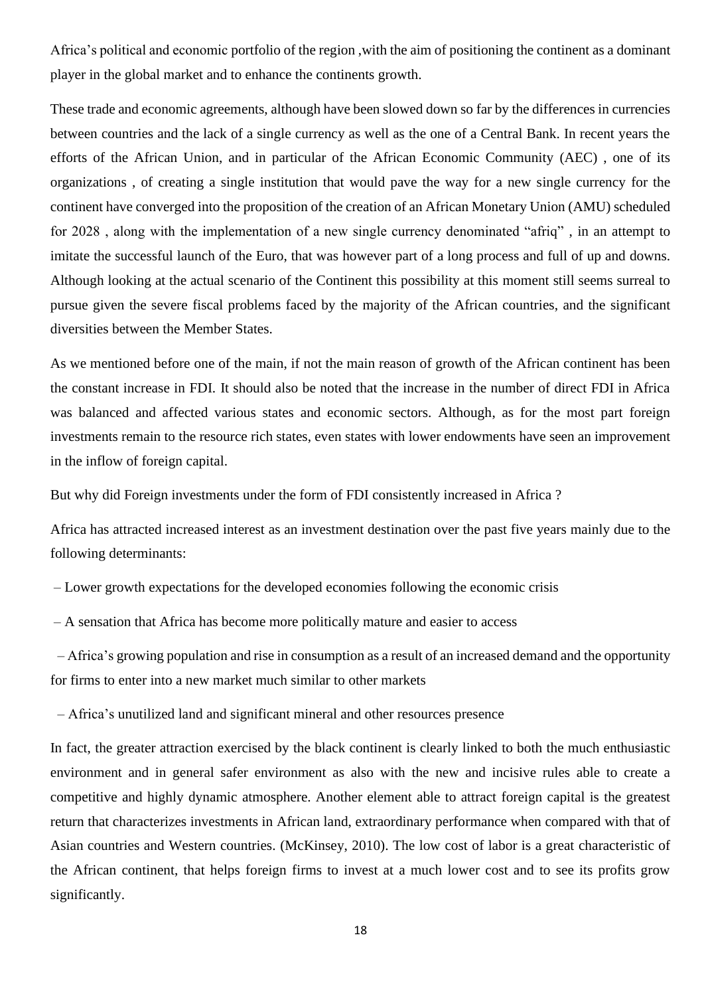Africa's political and economic portfolio of the region ,with the aim of positioning the continent as a dominant player in the global market and to enhance the continents growth.

These trade and economic agreements, although have been slowed down so far by the differences in currencies between countries and the lack of a single currency as well as the one of a Central Bank. In recent years the efforts of the African Union, and in particular of the African Economic Community (AEC) , one of its organizations , of creating a single institution that would pave the way for a new single currency for the continent have converged into the proposition of the creation of an African Monetary Union (AMU) scheduled for 2028 , along with the implementation of a new single currency denominated "afriq" , in an attempt to imitate the successful launch of the Euro, that was however part of a long process and full of up and downs. Although looking at the actual scenario of the Continent this possibility at this moment still seems surreal to pursue given the severe fiscal problems faced by the majority of the African countries, and the significant diversities between the Member States.

As we mentioned before one of the main, if not the main reason of growth of the African continent has been the constant increase in FDI. It should also be noted that the increase in the number of direct FDI in Africa was balanced and affected various states and economic sectors. Although, as for the most part foreign investments remain to the resource rich states, even states with lower endowments have seen an improvement in the inflow of foreign capital.

But why did Foreign investments under the form of FDI consistently increased in Africa ?

Africa has attracted increased interest as an investment destination over the past five years mainly due to the following determinants:

– Lower growth expectations for the developed economies following the economic crisis

– A sensation that Africa has become more politically mature and easier to access

 – Africa's growing population and rise in consumption as a result of an increased demand and the opportunity for firms to enter into a new market much similar to other markets

– Africa's unutilized land and significant mineral and other resources presence

In fact, the greater attraction exercised by the black continent is clearly linked to both the much enthusiastic environment and in general safer environment as also with the new and incisive rules able to create a competitive and highly dynamic atmosphere. Another element able to attract foreign capital is the greatest return that characterizes investments in African land, extraordinary performance when compared with that of Asian countries and Western countries. (McKinsey, 2010). The low cost of labor is a great characteristic of the African continent, that helps foreign firms to invest at a much lower cost and to see its profits grow significantly.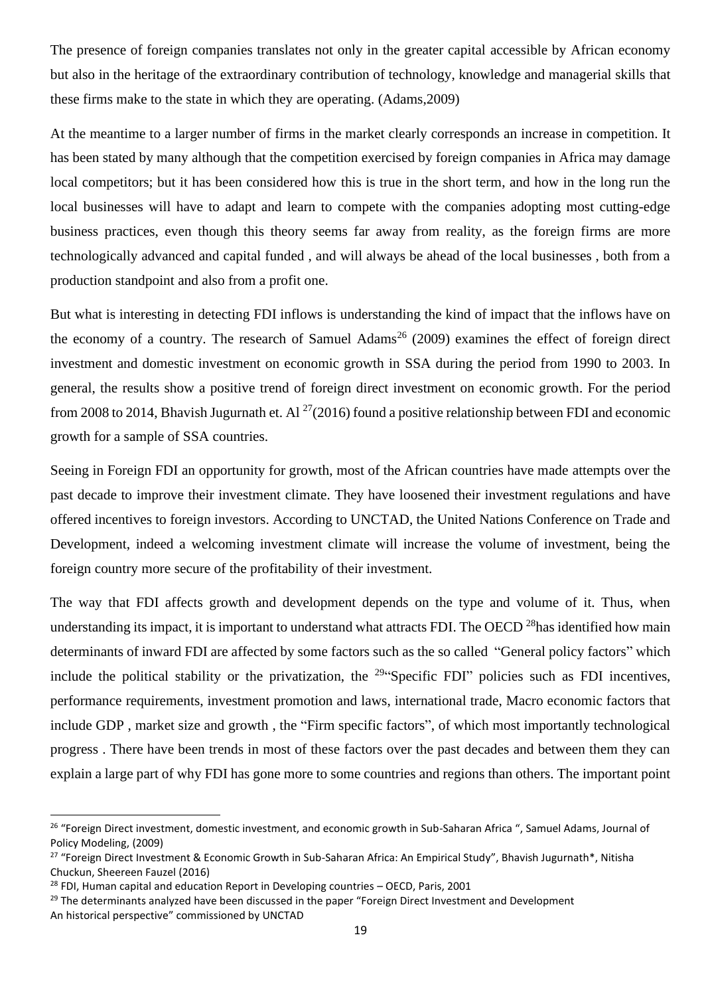The presence of foreign companies translates not only in the greater capital accessible by African economy but also in the heritage of the extraordinary contribution of technology, knowledge and managerial skills that these firms make to the state in which they are operating. (Adams,2009)

At the meantime to a larger number of firms in the market clearly corresponds an increase in competition. It has been stated by many although that the competition exercised by foreign companies in Africa may damage local competitors; but it has been considered how this is true in the short term, and how in the long run the local businesses will have to adapt and learn to compete with the companies adopting most cutting-edge business practices, even though this theory seems far away from reality, as the foreign firms are more technologically advanced and capital funded , and will always be ahead of the local businesses , both from a production standpoint and also from a profit one.

But what is interesting in detecting FDI inflows is understanding the kind of impact that the inflows have on the economy of a country. The research of Samuel Adams<sup>26</sup> (2009) examines the effect of foreign direct investment and domestic investment on economic growth in SSA during the period from 1990 to 2003. In general, the results show a positive trend of foreign direct investment on economic growth. For the period from 2008 to 2014, Bhavish Jugurnath et. Al  $^{27}(2016)$  found a positive relationship between FDI and economic growth for a sample of SSA countries.

Seeing in Foreign FDI an opportunity for growth, most of the African countries have made attempts over the past decade to improve their investment climate. They have loosened their investment regulations and have offered incentives to foreign investors. According to UNCTAD, the United Nations Conference on Trade and Development, indeed a welcoming investment climate will increase the volume of investment, being the foreign country more secure of the profitability of their investment.

The way that FDI affects growth and development depends on the type and volume of it. Thus, when understanding its impact, it is important to understand what attracts FDI. The OECD <sup>28</sup>has identified how main determinants of inward FDI are affected by some factors such as the so called "General policy factors" which include the political stability or the privatization, the <sup>29</sup>"Specific FDI" policies such as FDI incentives, performance requirements, investment promotion and laws, international trade, Macro economic factors that include GDP , market size and growth , the "Firm specific factors", of which most importantly technological progress . There have been trends in most of these factors over the past decades and between them they can explain a large part of why FDI has gone more to some countries and regions than others. The important point

<sup>&</sup>lt;sup>26</sup> "Foreign Direct investment, domestic investment, and economic growth in Sub-Saharan Africa ", Samuel Adams, Journal of Policy Modeling, (2009)

<sup>&</sup>lt;sup>27</sup> "Foreign Direct Investment & Economic Growth in Sub-Saharan Africa: An Empirical Study", Bhavish Jugurnath\*, Nitisha Chuckun, Sheereen Fauzel (2016)

 $28$  FDI, Human capital and education Report in Developing countries – OECD, Paris, 2001

<sup>&</sup>lt;sup>29</sup> The determinants analyzed have been discussed in the paper "Foreign Direct Investment and Development An historical perspective" commissioned by UNCTAD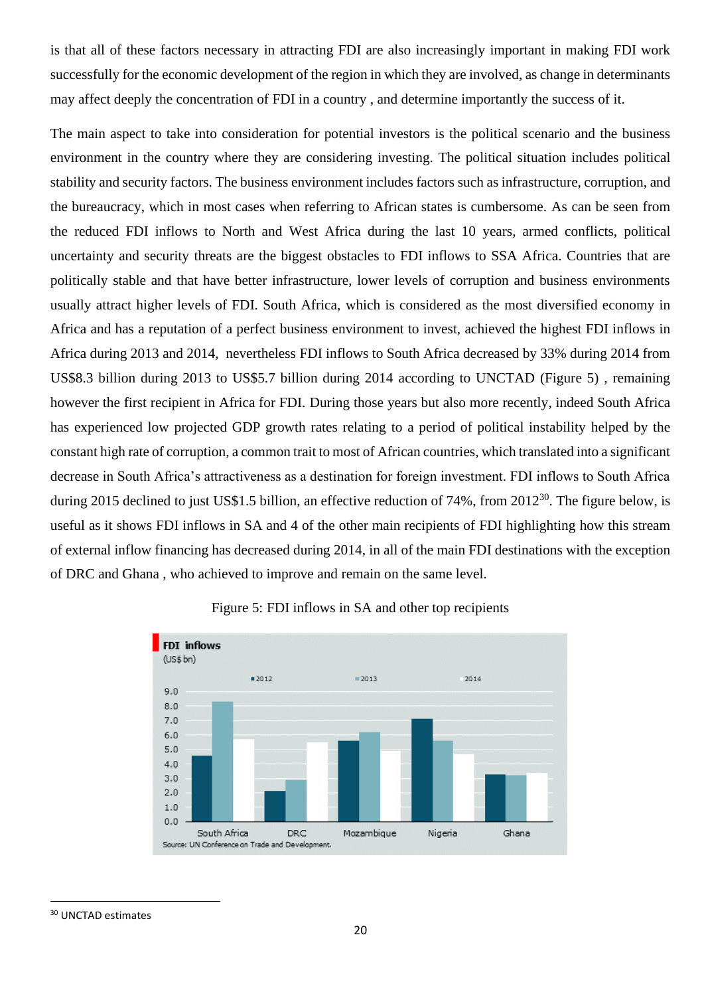is that all of these factors necessary in attracting FDI are also increasingly important in making FDI work successfully for the economic development of the region in which they are involved, as change in determinants may affect deeply the concentration of FDI in a country , and determine importantly the success of it.

The main aspect to take into consideration for potential investors is the political scenario and the business environment in the country where they are considering investing. The political situation includes political stability and security factors. The business environment includes factors such as infrastructure, corruption, and the bureaucracy, which in most cases when referring to African states is cumbersome. As can be seen from the reduced FDI inflows to North and West Africa during the last 10 years, armed conflicts, political uncertainty and security threats are the biggest obstacles to FDI inflows to SSA Africa. Countries that are politically stable and that have better infrastructure, lower levels of corruption and business environments usually attract higher levels of FDI. South Africa, which is considered as the most diversified economy in Africa and has a reputation of a perfect business environment to invest, achieved the highest FDI inflows in Africa during 2013 and 2014, nevertheless FDI inflows to South Africa decreased by 33% during 2014 from US\$8.3 billion during 2013 to US\$5.7 billion during 2014 according to UNCTAD (Figure 5) , remaining however the first recipient in Africa for FDI. During those years but also more recently, indeed South Africa has experienced low projected GDP growth rates relating to a period of political instability helped by the constant high rate of corruption, a common trait to most of African countries, which translated into a significant decrease in South Africa's attractiveness as a destination for foreign investment. FDI inflows to South Africa during 2015 declined to just US\$1.5 billion, an effective reduction of 74%, from 2012<sup>30</sup>. The figure below, is useful as it shows FDI inflows in SA and 4 of the other main recipients of FDI highlighting how this stream of external inflow financing has decreased during 2014, in all of the main FDI destinations with the exception of DRC and Ghana , who achieved to improve and remain on the same level.



#### Figure 5: FDI inflows in SA and other top recipients

<sup>30</sup> UNCTAD estimates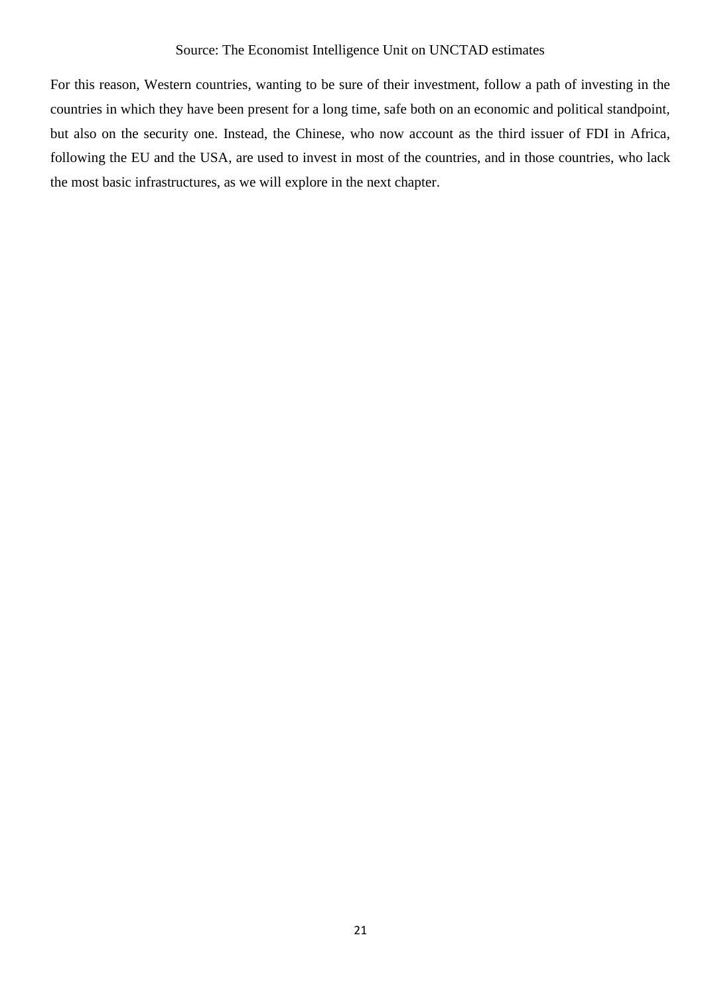For this reason, Western countries, wanting to be sure of their investment, follow a path of investing in the countries in which they have been present for a long time, safe both on an economic and political standpoint, but also on the security one. Instead, the Chinese, who now account as the third issuer of FDI in Africa, following the EU and the USA, are used to invest in most of the countries, and in those countries, who lack the most basic infrastructures, as we will explore in the next chapter.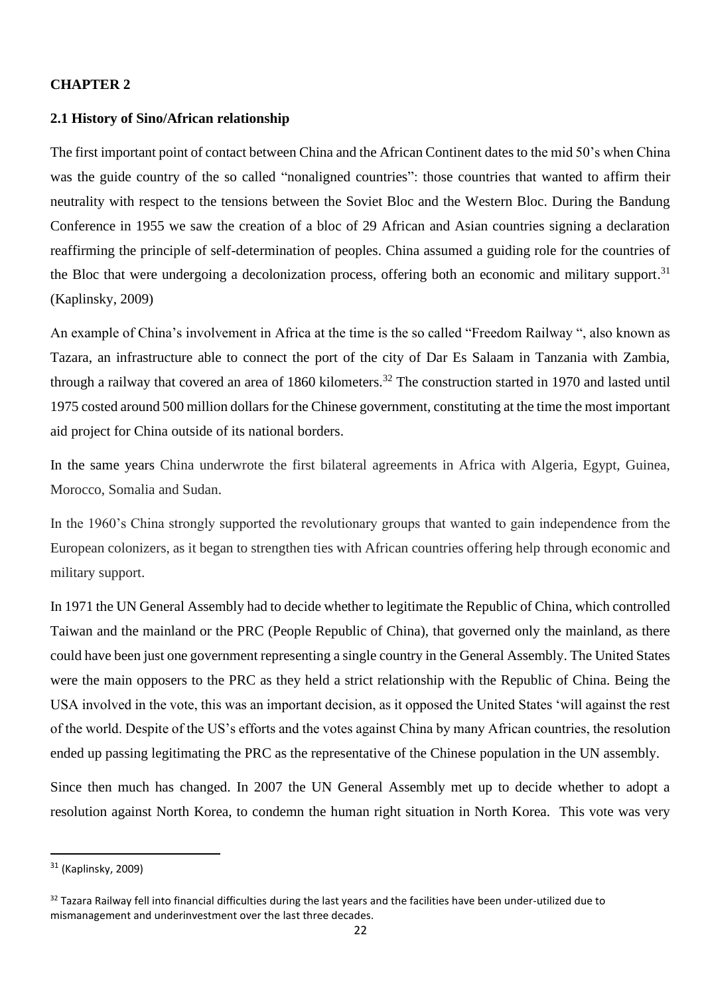#### **CHAPTER 2**

#### **2.1 History of Sino/African relationship**

The first important point of contact between China and the African Continent dates to the mid 50's when China was the guide country of the so called "nonaligned countries": those countries that wanted to affirm their neutrality with respect to the tensions between the Soviet Bloc and the Western Bloc. During the Bandung Conference in 1955 we saw the creation of a bloc of 29 African and Asian countries signing a declaration reaffirming the principle of self-determination of peoples. China assumed a guiding role for the countries of the Bloc that were undergoing a decolonization process, offering both an economic and military support.<sup>31</sup> (Kaplinsky, 2009)

An example of China's involvement in Africa at the time is the so called "Freedom Railway ", also known as Tazara, an infrastructure able to connect the port of the city of Dar Es Salaam in Tanzania with Zambia, through a railway that covered an area of 1860 kilometers.<sup>32</sup> The construction started in 1970 and lasted until 1975 costed around 500 million dollars for the Chinese government, constituting at the time the most important aid project for China outside of its national borders.

In the same years China underwrote the first bilateral agreements in Africa with Algeria, Egypt, Guinea, Morocco, Somalia and Sudan.

In the 1960's China strongly supported the revolutionary groups that wanted to gain independence from the European colonizers, as it began to strengthen ties with African countries offering help through economic and military support.

In 1971 the UN General Assembly had to decide whether to legitimate the Republic of China, which controlled Taiwan and the mainland or the PRC (People Republic of China), that governed only the mainland, as there could have been just one government representing a single country in the General Assembly. The United States were the main opposers to the PRC as they held a strict relationship with the Republic of China. Being the USA involved in the vote, this was an important decision, as it opposed the United States 'will against the rest of the world. Despite of the US's efforts and the votes against China by many African countries, the resolution ended up passing legitimating the PRC as the representative of the Chinese population in the UN assembly.

Since then much has changed. In 2007 the UN General Assembly met up to decide whether to adopt a resolution against North Korea, to condemn the human right situation in North Korea. This vote was very

 $31$  (Kaplinsky, 2009)

<sup>32</sup> Tazara Railway fell into financial difficulties during the last years and the facilities have been under-utilized due to mismanagement and underinvestment over the last three decades.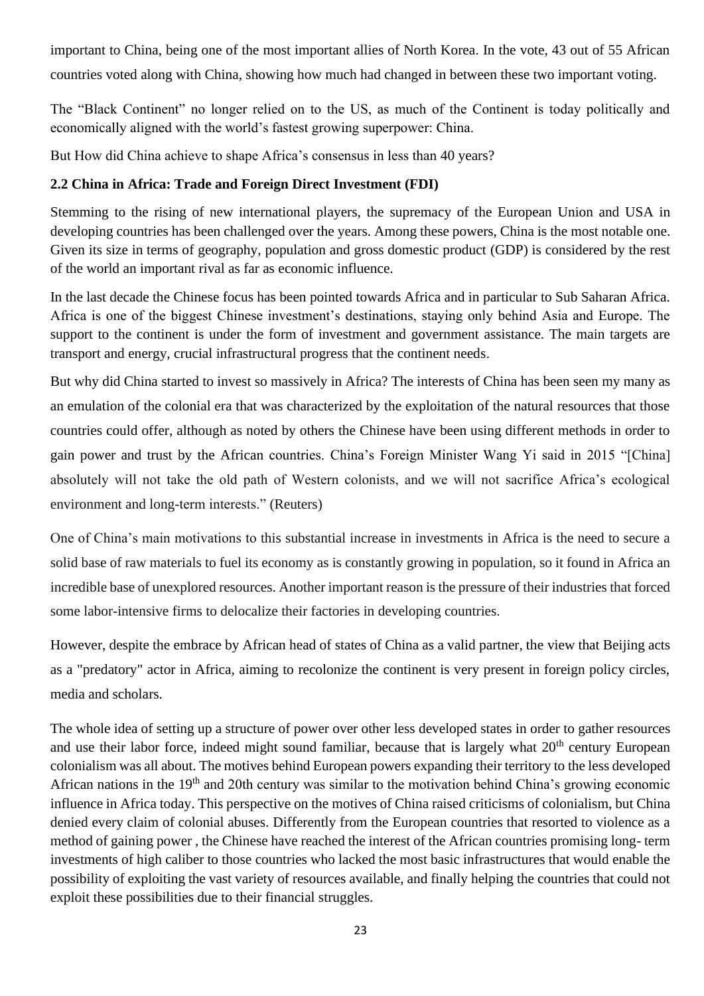important to China, being one of the most important allies of North Korea. In the vote, 43 out of 55 African countries voted along with China, showing how much had changed in between these two important voting.

The "Black Continent" no longer relied on to the US, as much of the Continent is today politically and economically aligned with the world's fastest growing superpower: China.

But How did China achieve to shape Africa's consensus in less than 40 years?

### **2.2 China in Africa: Trade and Foreign Direct Investment (FDI)**

Stemming to the rising of new international players, the supremacy of the European Union and USA in developing countries has been challenged over the years. Among these powers, China is the most notable one. Given its size in terms of geography, population and gross domestic product (GDP) is considered by the rest of the world an important rival as far as economic influence.

In the last decade the Chinese focus has been pointed towards Africa and in particular to Sub Saharan Africa. Africa is one of the biggest Chinese investment's destinations, staying only behind Asia and Europe. The support to the continent is under the form of investment and government assistance. The main targets are transport and energy, crucial infrastructural progress that the continent needs.

But why did China started to invest so massively in Africa? The interests of China has been seen my many as an emulation of the colonial era that was characterized by the exploitation of the natural resources that those countries could offer, although as noted by others the Chinese have been using different methods in order to gain power and trust by the African countries. China's Foreign Minister Wang Yi said in 2015 "[China] absolutely will not take the old path of Western colonists, and we will not sacrifice Africa's ecological environment and long-term interests." (Reuters)

One of China's main motivations to this substantial increase in investments in Africa is the need to secure a solid base of raw materials to fuel its economy as is constantly growing in population, so it found in Africa an incredible base of unexplored resources. Another important reason is the pressure of their industries that forced some labor-intensive firms to delocalize their factories in developing countries.

However, despite the embrace by African head of states of China as a valid partner, the view that Beijing acts as a "predatory" actor in Africa, aiming to recolonize the continent is very present in foreign policy circles, media and scholars.

The whole idea of setting up a structure of power over other less developed states in order to gather resources and use their labor force, indeed might sound familiar, because that is largely what 20<sup>th</sup> century European colonialism was all about. The motives behind European powers expanding their territory to the less developed African nations in the 19<sup>th</sup> and 20th century was similar to the motivation behind China's growing economic influence in Africa today. This perspective on the motives of China raised criticisms of colonialism, but China denied every claim of colonial abuses. Differently from the European countries that resorted to violence as a method of gaining power , the Chinese have reached the interest of the African countries promising long- term investments of high caliber to those countries who lacked the most basic infrastructures that would enable the possibility of exploiting the vast variety of resources available, and finally helping the countries that could not exploit these possibilities due to their financial struggles.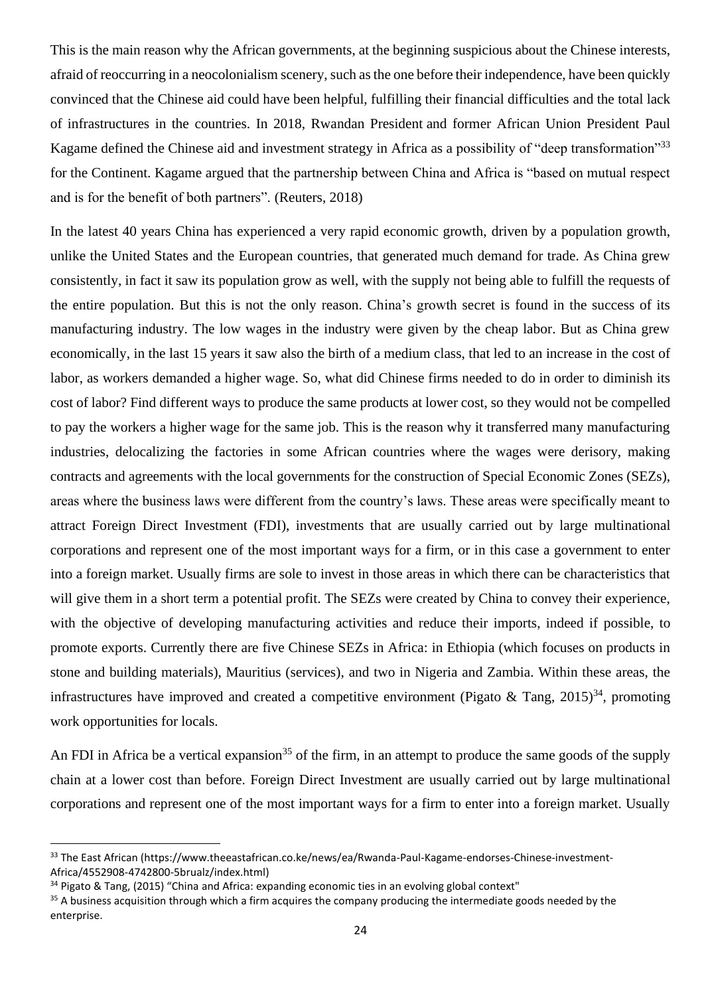This is the main reason why the African governments, at the beginning suspicious about the Chinese interests, afraid of reoccurring in a neocolonialism scenery, such as the one before their independence, have been quickly convinced that the Chinese aid could have been helpful, fulfilling their financial difficulties and the total lack of infrastructures in the countries. In 2018, Rwandan President and former African Union President Paul Kagame defined the Chinese aid and investment strategy in Africa as a possibility of "deep transformation"<sup>33</sup> for the Continent. Kagame argued that the partnership between China and Africa is "based on mutual respect and is for the benefit of both partners". (Reuters, 2018)

In the latest 40 years China has experienced a very rapid economic growth, driven by a population growth, unlike the United States and the European countries, that generated much demand for trade. As China grew consistently, in fact it saw its population grow as well, with the supply not being able to fulfill the requests of the entire population. But this is not the only reason. China's growth secret is found in the success of its manufacturing industry. The low wages in the industry were given by the cheap labor. But as China grew economically, in the last 15 years it saw also the birth of a medium class, that led to an increase in the cost of labor, as workers demanded a higher wage. So, what did Chinese firms needed to do in order to diminish its cost of labor? Find different ways to produce the same products at lower cost, so they would not be compelled to pay the workers a higher wage for the same job. This is the reason why it transferred many manufacturing industries, delocalizing the factories in some African countries where the wages were derisory, making contracts and agreements with the local governments for the construction of Special Economic Zones (SEZs), areas where the business laws were different from the country's laws. These areas were specifically meant to attract Foreign Direct Investment (FDI), investments that are usually carried out by large multinational corporations and represent one of the most important ways for a firm, or in this case a government to enter into a foreign market. Usually firms are sole to invest in those areas in which there can be characteristics that will give them in a short term a potential profit. The SEZs were created by China to convey their experience, with the objective of developing manufacturing activities and reduce their imports, indeed if possible, to promote exports. Currently there are five Chinese SEZs in Africa: in Ethiopia (which focuses on products in stone and building materials), Mauritius (services), and two in Nigeria and Zambia. Within these areas, the infrastructures have improved and created a competitive environment (Pigato & Tang, 2015)<sup>34</sup>, promoting work opportunities for locals.

An FDI in Africa be a vertical expansion<sup>35</sup> of the firm, in an attempt to produce the same goods of the supply chain at a lower cost than before. Foreign Direct Investment are usually carried out by large multinational corporations and represent one of the most important ways for a firm to enter into a foreign market. Usually

<sup>&</sup>lt;sup>33</sup> The East African (https://www.theeastafrican.co.ke/news/ea/Rwanda-Paul-Kagame-endorses-Chinese-investment-Africa/4552908-4742800-5brualz/index.html)

 $34$  Pigato & Tang, (2015) "China and Africa: expanding economic ties in an evolving global context"

 $35$  A business acquisition through which a firm acquires the company producing the intermediate goods needed by the enterprise.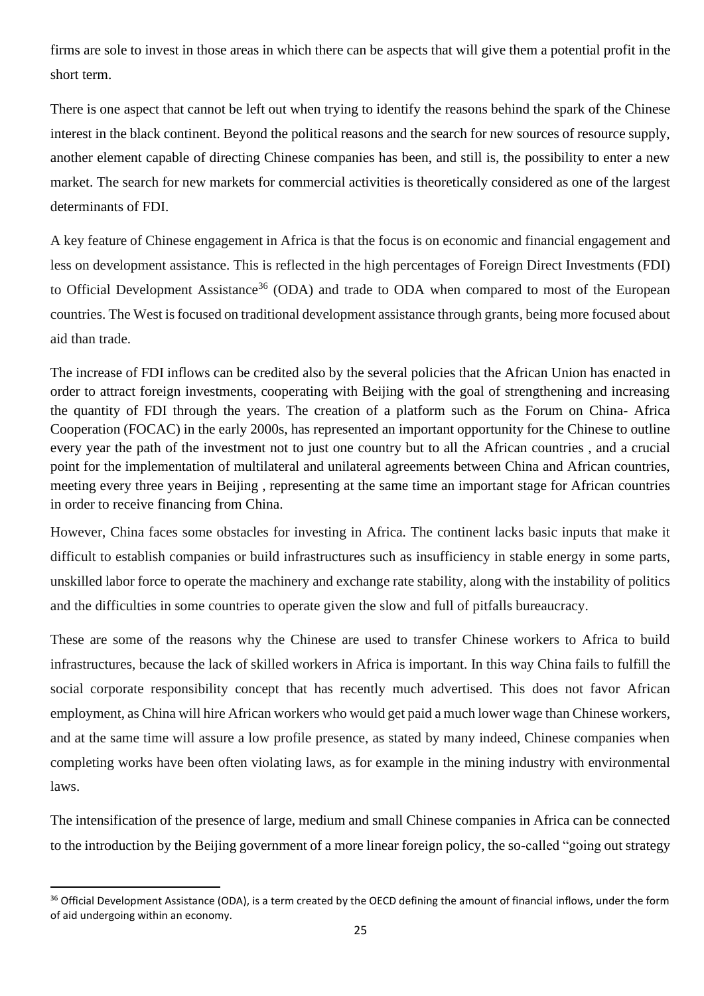firms are sole to invest in those areas in which there can be aspects that will give them a potential profit in the short term.

There is one aspect that cannot be left out when trying to identify the reasons behind the spark of the Chinese interest in the black continent. Beyond the political reasons and the search for new sources of resource supply, another element capable of directing Chinese companies has been, and still is, the possibility to enter a new market. The search for new markets for commercial activities is theoretically considered as one of the largest determinants of FDI.

A key feature of Chinese engagement in Africa is that the focus is on economic and financial engagement and less on development assistance. This is reflected in the high percentages of Foreign Direct Investments (FDI) to Official Development Assistance<sup>36</sup> (ODA) and trade to ODA when compared to most of the European countries. The West is focused on traditional development assistance through grants, being more focused about aid than trade.

The increase of FDI inflows can be credited also by the several policies that the African Union has enacted in order to attract foreign investments, cooperating with Beijing with the goal of strengthening and increasing the quantity of FDI through the years. The creation of a platform such as the Forum on China- Africa Cooperation (FOCAC) in the early 2000s, has represented an important opportunity for the Chinese to outline every year the path of the investment not to just one country but to all the African countries , and a crucial point for the implementation of multilateral and unilateral agreements between China and African countries, meeting every three years in Beijing , representing at the same time an important stage for African countries in order to receive financing from China.

However, China faces some obstacles for investing in Africa. The continent lacks basic inputs that make it difficult to establish companies or build infrastructures such as insufficiency in stable energy in some parts, unskilled labor force to operate the machinery and exchange rate stability, along with the instability of politics and the difficulties in some countries to operate given the slow and full of pitfalls bureaucracy.

These are some of the reasons why the Chinese are used to transfer Chinese workers to Africa to build infrastructures, because the lack of skilled workers in Africa is important. In this way China fails to fulfill the social corporate responsibility concept that has recently much advertised. This does not favor African employment, as China will hire African workers who would get paid a much lower wage than Chinese workers, and at the same time will assure a low profile presence, as stated by many indeed, Chinese companies when completing works have been often violating laws, as for example in the mining industry with environmental laws.

The intensification of the presence of large, medium and small Chinese companies in Africa can be connected to the introduction by the Beijing government of a more linear foreign policy, the so-called "going out strategy

<sup>&</sup>lt;sup>36</sup> Official Development Assistance (ODA), is a term created by the OECD defining the amount of financial inflows, under the form of aid undergoing within an economy.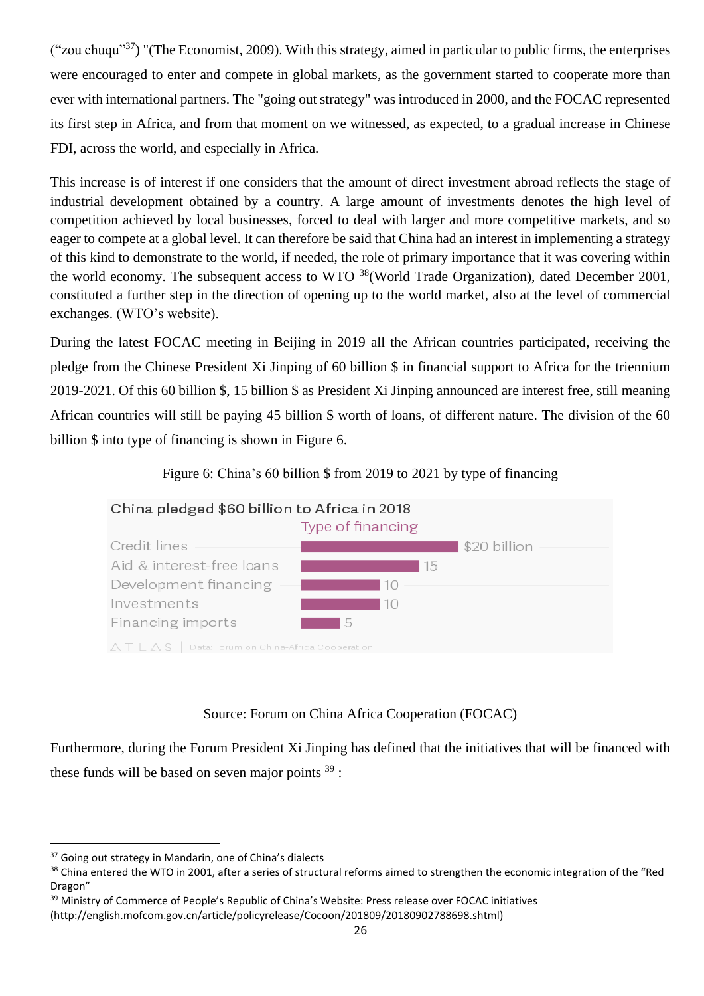("zou chuqu" $37$ ) "(The Economist, 2009). With this strategy, aimed in particular to public firms, the enterprises were encouraged to enter and compete in global markets, as the government started to cooperate more than ever with international partners. The "going out strategy" was introduced in 2000, and the FOCAC represented its first step in Africa, and from that moment on we witnessed, as expected, to a gradual increase in Chinese FDI, across the world, and especially in Africa.

This increase is of interest if one considers that the amount of direct investment abroad reflects the stage of industrial development obtained by a country. A large amount of investments denotes the high level of competition achieved by local businesses, forced to deal with larger and more competitive markets, and so eager to compete at a global level. It can therefore be said that China had an interest in implementing a strategy of this kind to demonstrate to the world, if needed, the role of primary importance that it was covering within the world economy. The subsequent access to WTO <sup>38</sup> (World Trade Organization), dated December 2001, constituted a further step in the direction of opening up to the world market, also at the level of commercial exchanges. (WTO's website).

During the latest FOCAC meeting in Beijing in 2019 all the African countries participated, receiving the pledge from the Chinese President Xi Jinping of 60 billion \$ in financial support to Africa for the triennium 2019-2021. Of this 60 billion \$, 15 billion \$ as President Xi Jinping announced are interest free, still meaning African countries will still be paying 45 billion \$ worth of loans, of different nature. The division of the 60 billion \$ into type of financing is shown in Figure 6.



Figure 6: China's 60 billion \$ from 2019 to 2021 by type of financing

### Source: Forum on China Africa Cooperation (FOCAC)

Furthermore, during the Forum President Xi Jinping has defined that the initiatives that will be financed with these funds will be based on seven major points  $39$ :

<sup>&</sup>lt;sup>37</sup> Going out strategy in Mandarin, one of China's dialects

<sup>&</sup>lt;sup>38</sup> China entered the WTO in 2001, after a series of structural reforms aimed to strengthen the economic integration of the "Red Dragon"

<sup>&</sup>lt;sup>39</sup> Ministry of Commerce of People's Republic of China's Website: Press release over FOCAC initiatives

[<sup>\(</sup>http://english.mofcom.gov.cn/article/policyrelease/Cocoon/201809/20180902788698.shtml\)](http://english.mofcom.gov.cn/article/policyrelease/Cocoon/201809/20180902788698.shtml)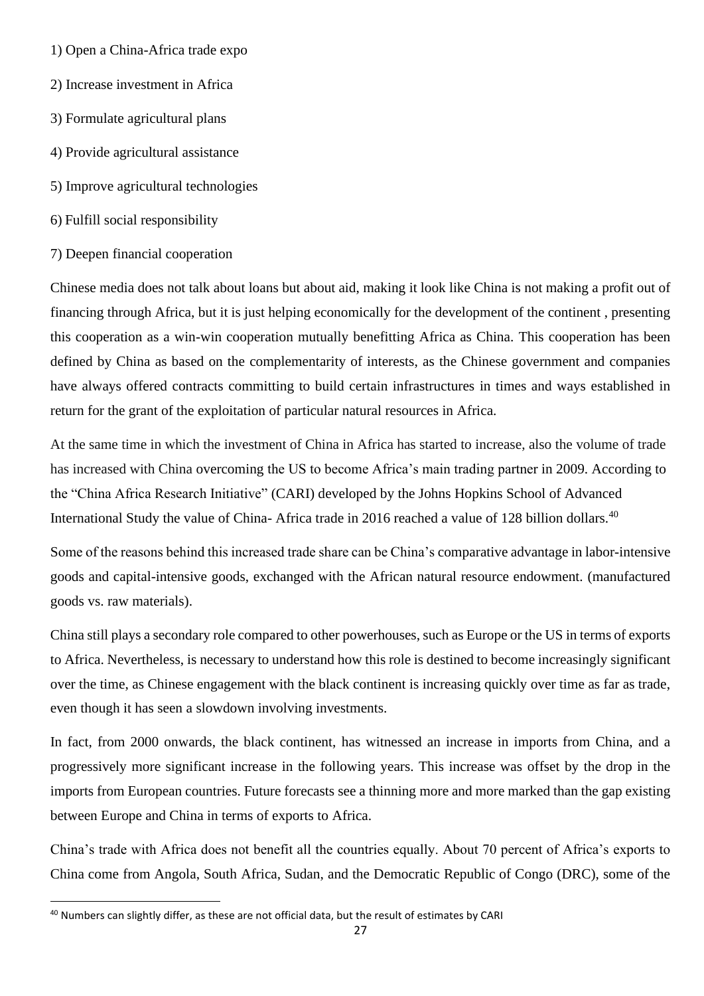- 1) Open a China-Africa trade expo
- 2) Increase investment in Africa
- 3) Formulate agricultural plans
- 4) Provide agricultural assistance
- 5) Improve agricultural technologies
- 6) Fulfill social responsibility
- 7) Deepen financial cooperation

Chinese media does not talk about loans but about aid, making it look like China is not making a profit out of financing through Africa, but it is just helping economically for the development of the continent , presenting this cooperation as a win-win cooperation mutually benefitting Africa as China. This cooperation has been defined by China as based on the complementarity of interests, as the Chinese government and companies have always offered contracts committing to build certain infrastructures in times and ways established in return for the grant of the exploitation of particular natural resources in Africa.

At the same time in which the investment of China in Africa has started to increase, also the volume of trade has increased with China overcoming the US to become Africa's main trading partner in 2009. According to the "China Africa Research Initiative" (CARI) developed by the Johns Hopkins School of Advanced International Study the value of China- Africa trade in 2016 reached a value of 128 billion dollars.<sup>40</sup>

Some of the reasons behind this increased trade share can be China's comparative advantage in labor-intensive goods and capital-intensive goods, exchanged with the African natural resource endowment. (manufactured goods vs. raw materials).

China still plays a secondary role compared to other powerhouses, such as Europe or the US in terms of exports to Africa. Nevertheless, is necessary to understand how this role is destined to become increasingly significant over the time, as Chinese engagement with the black continent is increasing quickly over time as far as trade, even though it has seen a slowdown involving investments.

In fact, from 2000 onwards, the black continent, has witnessed an increase in imports from China, and a progressively more significant increase in the following years. This increase was offset by the drop in the imports from European countries. Future forecasts see a thinning more and more marked than the gap existing between Europe and China in terms of exports to Africa.

China's trade with Africa does not benefit all the countries equally. About 70 percent of Africa's exports to China come from Angola, South Africa, Sudan, and the Democratic Republic of Congo (DRC), some of the

<sup>&</sup>lt;sup>40</sup> Numbers can slightly differ, as these are not official data, but the result of estimates by CARI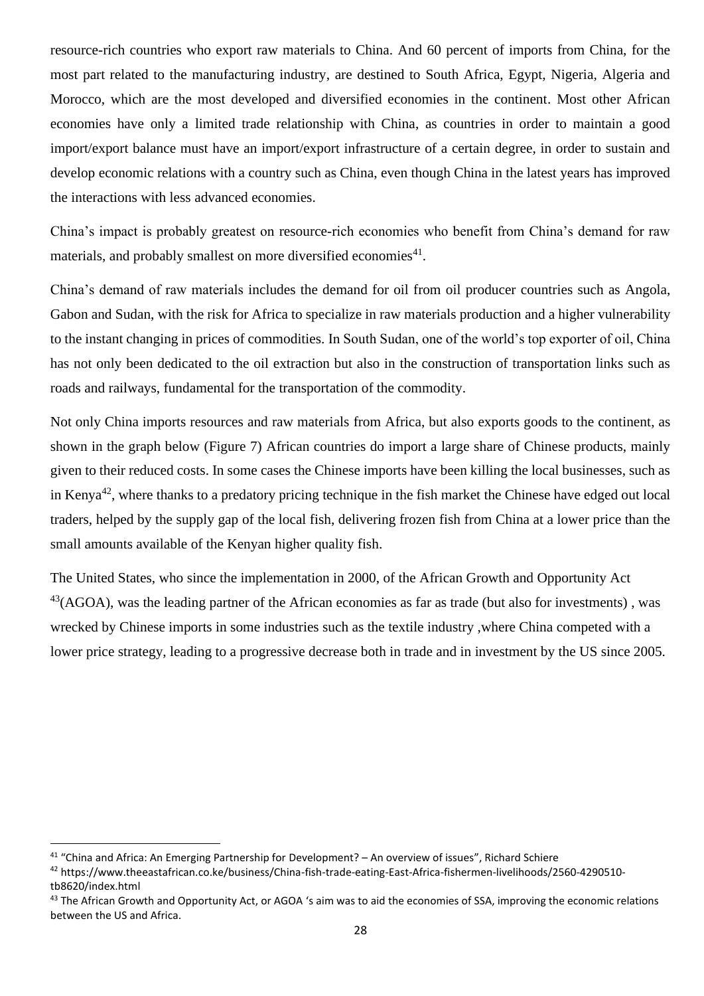resource-rich countries who export raw materials to China. And 60 percent of imports from China, for the most part related to the manufacturing industry, are destined to South Africa, Egypt, Nigeria, Algeria and Morocco, which are the most developed and diversified economies in the continent. Most other African economies have only a limited trade relationship with China, as countries in order to maintain a good import/export balance must have an import/export infrastructure of a certain degree, in order to sustain and develop economic relations with a country such as China, even though China in the latest years has improved the interactions with less advanced economies.

China's impact is probably greatest on resource-rich economies who benefit from China's demand for raw materials, and probably smallest on more diversified economies<sup>41</sup>.

China's demand of raw materials includes the demand for oil from oil producer countries such as Angola, Gabon and Sudan, with the risk for Africa to specialize in raw materials production and a higher vulnerability to the instant changing in prices of commodities. In South Sudan, one of the world's top exporter of oil, China has not only been dedicated to the oil extraction but also in the construction of transportation links such as roads and railways, fundamental for the transportation of the commodity.

Not only China imports resources and raw materials from Africa, but also exports goods to the continent, as shown in the graph below (Figure 7) African countries do import a large share of Chinese products, mainly given to their reduced costs. In some cases the Chinese imports have been killing the local businesses, such as in Kenya<sup>42</sup>, where thanks to a predatory pricing technique in the fish market the Chinese have edged out local traders, helped by the supply gap of the local fish, delivering frozen fish from China at a lower price than the small amounts available of the Kenyan higher quality fish.

The United States, who since the implementation in 2000, of the African Growth and Opportunity Act  $43(AGOA)$ , was the leading partner of the African economies as far as trade (but also for investments), was wrecked by Chinese imports in some industries such as the textile industry ,where China competed with a lower price strategy, leading to a progressive decrease both in trade and in investment by the US since 2005.

<sup>&</sup>lt;sup>41</sup> "China and Africa: An Emerging Partnership for Development? - An overview of issues", Richard Schiere

<sup>42</sup> https://www.theeastafrican.co.ke/business/China-fish-trade-eating-East-Africa-fishermen-livelihoods/2560-4290510 tb8620/index.html

<sup>&</sup>lt;sup>43</sup> The African Growth and Opportunity Act, or AGOA 's aim was to aid the economies of SSA, improving the economic relations between the US and Africa.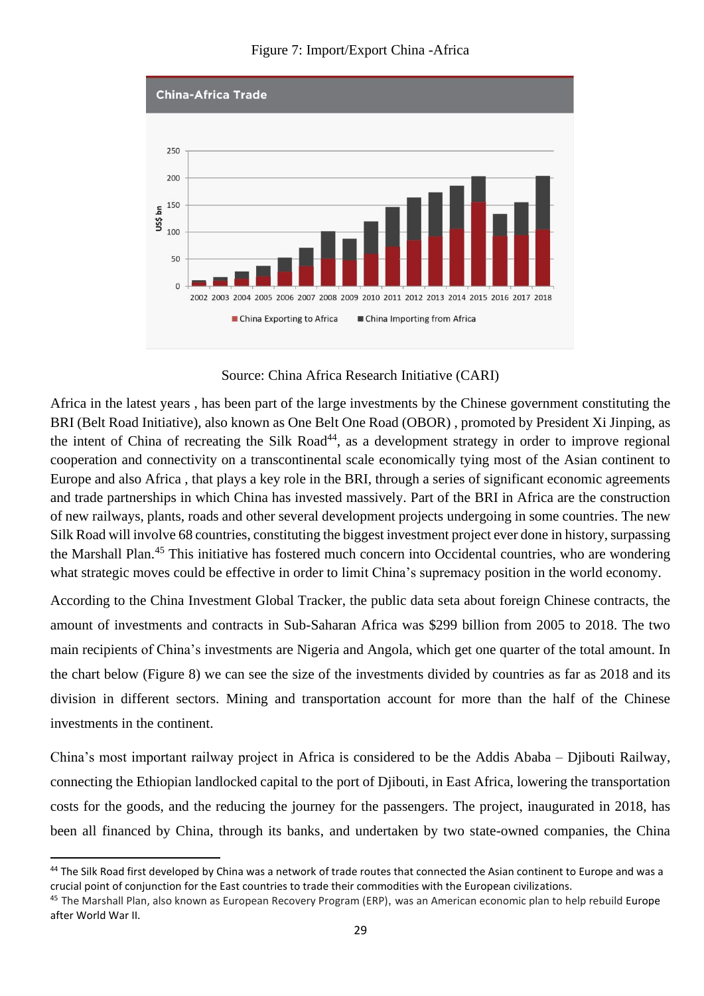



Source: China Africa Research Initiative (CARI)

Africa in the latest years , has been part of the large investments by the Chinese government constituting the BRI (Belt Road Initiative), also known as One Belt One Road (OBOR) , promoted by President Xi Jinping, as the intent of China of recreating the Silk Road<sup>44</sup>, as a development strategy in order to improve regional cooperation and connectivity on a transcontinental scale economically tying most of the Asian continent to Europe and also Africa , that plays a key role in the BRI, through a series of significant economic agreements and trade partnerships in which China has invested massively. Part of the BRI in Africa are the construction of new railways, plants, roads and other several development projects undergoing in some countries. The new Silk Road will involve 68 countries, constituting the biggest investment project ever done in history, surpassing the Marshall Plan.<sup>45</sup> This initiative has fostered much concern into Occidental countries, who are wondering what strategic moves could be effective in order to limit China's supremacy position in the world economy.

According to the China Investment Global Tracker, the public data seta about foreign Chinese contracts, the amount of investments and contracts in Sub-Saharan Africa was \$299 billion from 2005 to 2018. The two main recipients of China's investments are Nigeria and Angola, which get one quarter of the total amount. In the chart below (Figure 8) we can see the size of the investments divided by countries as far as 2018 and its division in different sectors. Mining and transportation account for more than the half of the Chinese investments in the continent.

China's most important railway project in Africa is considered to be the Addis Ababa – Djibouti Railway, connecting the Ethiopian landlocked capital to the port of Djibouti, in East Africa, lowering the transportation costs for the goods, and the reducing the journey for the passengers. The project, inaugurated in 2018, has been all financed by China, through its banks, and undertaken by two state-owned companies, the China

<sup>&</sup>lt;sup>44</sup> The Silk Road first developed by China was a network of trade routes that connected the Asian continent to Europe and was a crucial point of conjunction for the East countries to trade their commodities with the European civilizations.

<sup>45</sup> The Marshall Plan, also known as European Recovery Program (ERP), was an American economic plan to help rebuild Europe after World War II.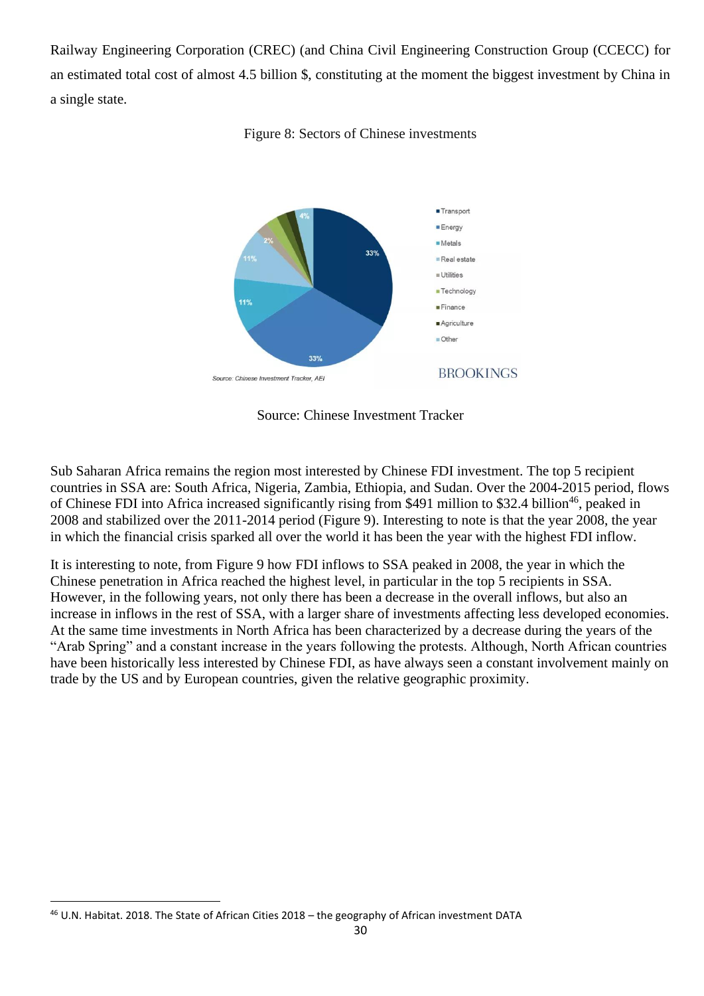Railway Engineering Corporation (CREC) (and China Civil Engineering Construction Group (CCECC) for an estimated total cost of almost 4.5 billion \$, constituting at the moment the biggest investment by China in a single state.





Source: Chinese Investment Tracker

Sub Saharan Africa remains the region most interested by Chinese FDI investment. The top 5 recipient countries in SSA are: South Africa, Nigeria, Zambia, Ethiopia, and Sudan. Over the 2004-2015 period, flows of Chinese FDI into Africa increased significantly rising from \$491 million to \$32.4 billion<sup>46</sup>, peaked in 2008 and stabilized over the 2011-2014 period (Figure 9). Interesting to note is that the year 2008, the year in which the financial crisis sparked all over the world it has been the year with the highest FDI inflow.

It is interesting to note, from Figure 9 how FDI inflows to SSA peaked in 2008, the year in which the Chinese penetration in Africa reached the highest level, in particular in the top 5 recipients in SSA. However, in the following years, not only there has been a decrease in the overall inflows, but also an increase in inflows in the rest of SSA, with a larger share of investments affecting less developed economies. At the same time investments in North Africa has been characterized by a decrease during the years of the "Arab Spring" and a constant increase in the years following the protests. Although, North African countries have been historically less interested by Chinese FDI, as have always seen a constant involvement mainly on trade by the US and by European countries, given the relative geographic proximity.

<sup>46</sup> U.N. Habitat. 2018. The State of African Cities 2018 – the geography of African investment DATA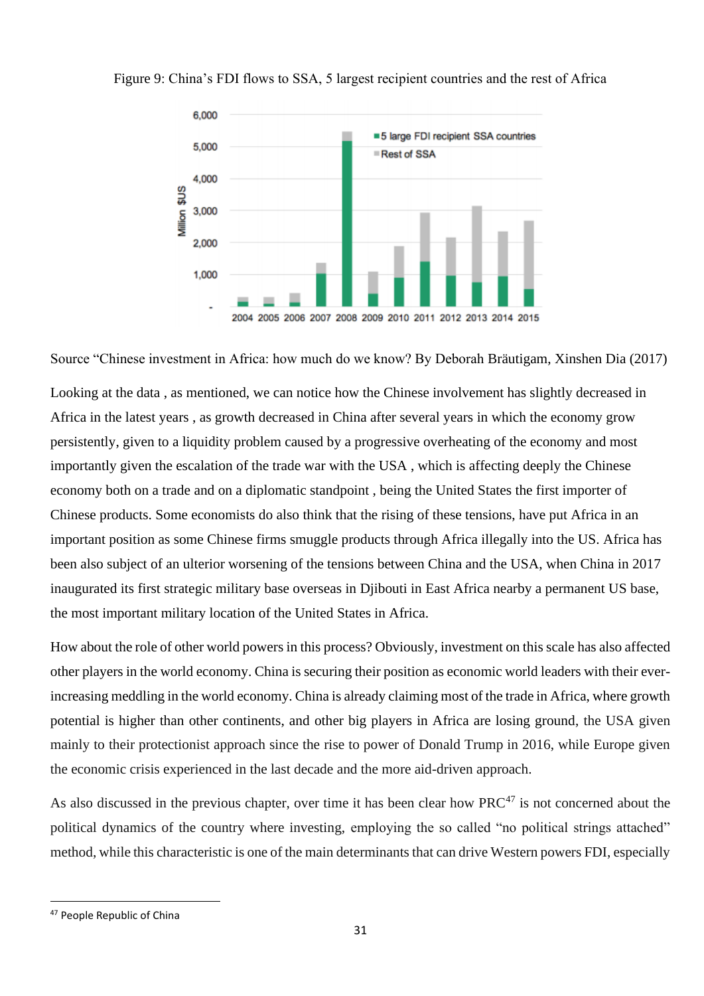

Figure 9: China's FDI flows to SSA, 5 largest recipient countries and the rest of Africa

Source "Chinese investment in Africa: how much do we know? By Deborah Bräutigam, Xinshen Dia (2017)

Looking at the data , as mentioned, we can notice how the Chinese involvement has slightly decreased in Africa in the latest years , as growth decreased in China after several years in which the economy grow persistently, given to a liquidity problem caused by a progressive overheating of the economy and most importantly given the escalation of the trade war with the USA , which is affecting deeply the Chinese economy both on a trade and on a diplomatic standpoint , being the United States the first importer of Chinese products. Some economists do also think that the rising of these tensions, have put Africa in an important position as some Chinese firms smuggle products through Africa illegally into the US. Africa has been also subject of an ulterior worsening of the tensions between China and the USA, when China in 2017 inaugurated its first strategic military base overseas in Djibouti in East Africa nearby a permanent US base, the most important military location of the United States in Africa.

How about the role of other world powers in this process? Obviously, investment on this scale has also affected other players in the world economy. China is securing their position as economic world leaders with their everincreasing meddling in the world economy. China is already claiming most of the trade in Africa, where growth potential is higher than other continents, and other big players in Africa are losing ground, the USA given mainly to their protectionist approach since the rise to power of Donald Trump in 2016, while Europe given the economic crisis experienced in the last decade and the more aid-driven approach.

As also discussed in the previous chapter, over time it has been clear how  $PRC<sup>47</sup>$  is not concerned about the political dynamics of the country where investing, employing the so called "no political strings attached" method, while this characteristic is one of the main determinants that can drive Western powers FDI, especially

<sup>47</sup> People Republic of China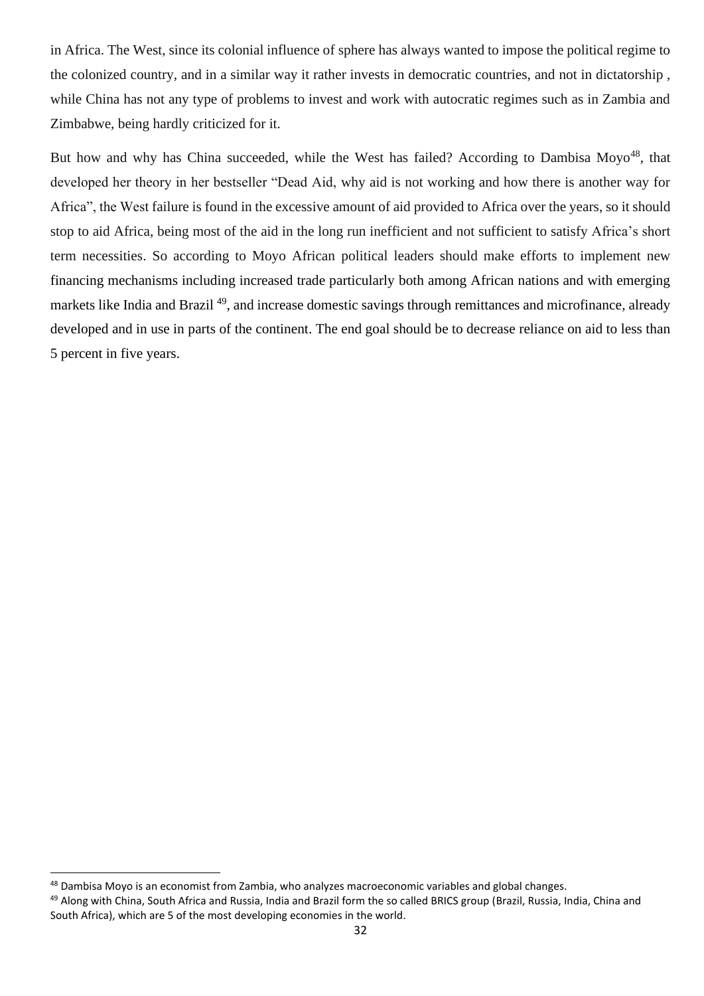in Africa. The West, since its colonial influence of sphere has always wanted to impose the political regime to the colonized country, and in a similar way it rather invests in democratic countries, and not in dictatorship , while China has not any type of problems to invest and work with autocratic regimes such as in Zambia and Zimbabwe, being hardly criticized for it.

But how and why has China succeeded, while the West has failed? According to Dambisa Moyo<sup>48</sup>, that developed her theory in her bestseller "Dead Aid, why aid is not working and how there is another way for Africa", the West failure is found in the excessive amount of aid provided to Africa over the years, so it should stop to aid Africa, being most of the aid in the long run inefficient and not sufficient to satisfy Africa's short term necessities. So according to Moyo African political leaders should make efforts to implement new financing mechanisms including increased trade particularly both among African nations and with emerging markets like India and Brazil <sup>49</sup>, and increase domestic savings through remittances and microfinance, already developed and in use in parts of the continent. The end goal should be to decrease reliance on aid to less than 5 percent in five years.

<sup>48</sup> Dambisa Moyo is an economist from Zambia, who analyzes macroeconomic variables and global changes.

<sup>&</sup>lt;sup>49</sup> Along with China, South Africa and Russia, India and Brazil form the so called BRICS group (Brazil, Russia, India, China and South Africa), which are 5 of the most developing economies in the world.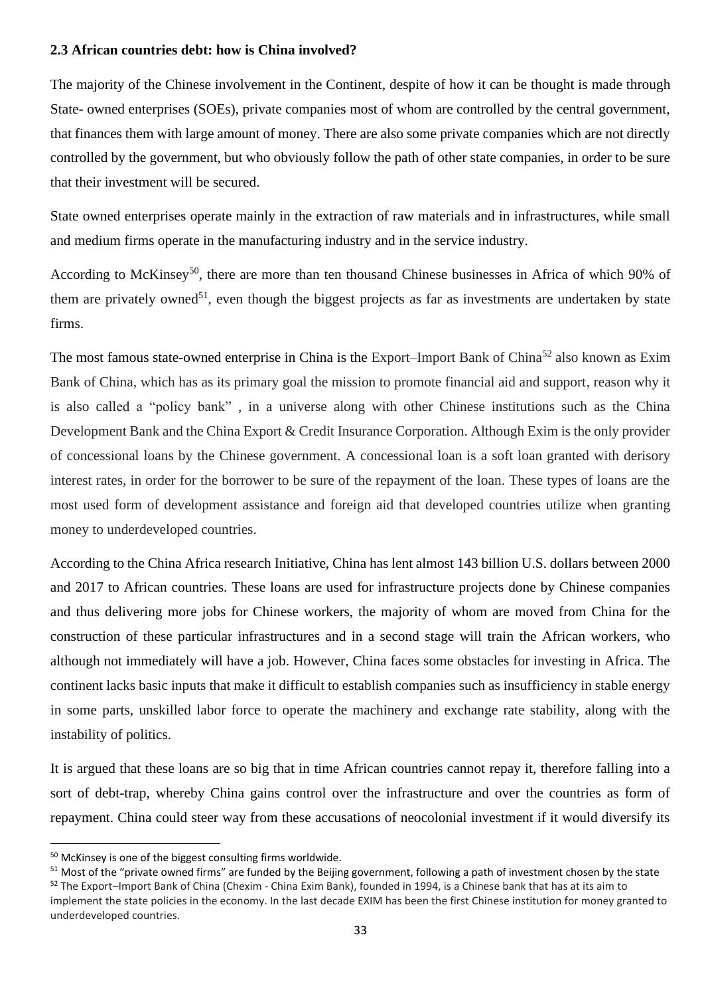#### **2.3 African countries debt: how is China involved?**

The majority of the Chinese involvement in the Continent, despite of how it can be thought is made through State- owned enterprises (SOEs), private companies most of whom are controlled by the central government, that finances them with large amount of money. There are also some private companies which are not directly controlled by the government, but who obviously follow the path of other state companies, in order to be sure that their investment will be secured.

State owned enterprises operate mainly in the extraction of raw materials and in infrastructures, while small and medium firms operate in the manufacturing industry and in the service industry.

According to McKinsey<sup>50</sup>, there are more than ten thousand Chinese businesses in Africa of which 90% of them are privately owned<sup>51</sup>, even though the biggest projects as far as investments are undertaken by state firms.

The most famous state-owned enterprise in China is the Export–Import Bank of China<sup>52</sup> also known as Exim Bank of China, which has as its primary goal the mission to promote financial aid and support, reason why it is also called a "policy bank" , in a universe along with other Chinese institutions such as the China Development Bank and the China Export & Credit Insurance Corporation. Although Exim is the only provider of concessional loans by the Chinese government. A concessional loan is a soft loan granted with derisory interest rates, in order for the borrower to be sure of the repayment of the loan. These types of loans are the most used form of development assistance and foreign aid that developed countries utilize when granting money to underdeveloped countries.

According to the China Africa research Initiative, China has lent almost 143 billion U.S. dollars between 2000 and 2017 to African countries. These loans are used for infrastructure projects done by Chinese companies and thus delivering more jobs for Chinese workers, the majority of whom are moved from China for the construction of these particular infrastructures and in a second stage will train the African workers, who although not immediately will have a job. However, China faces some obstacles for investing in Africa. The continent lacks basic inputs that make it difficult to establish companies such as insufficiency in stable energy in some parts, unskilled labor force to operate the machinery and exchange rate stability, along with the instability of politics.

It is argued that these loans are so big that in time African countries cannot repay it, therefore falling into a sort of debt-trap, whereby China gains control over the infrastructure and over the countries as form of repayment. China could steer way from these accusations of neocolonial investment if it would diversify its

<sup>50</sup> McKinsey is one of the biggest consulting firms worldwide.

<sup>&</sup>lt;sup>51</sup> Most of the "private owned firms" are funded by the Beijing government, following a path of investment chosen by the state <sup>52</sup> The Export–Import Bank of China (Chexim - China Exim Bank), founded in 1994, is a Chinese bank that has at its aim to implement the state policies in the economy. In the last decade EXIM has been the first Chinese institution for money granted to underdeveloped countries.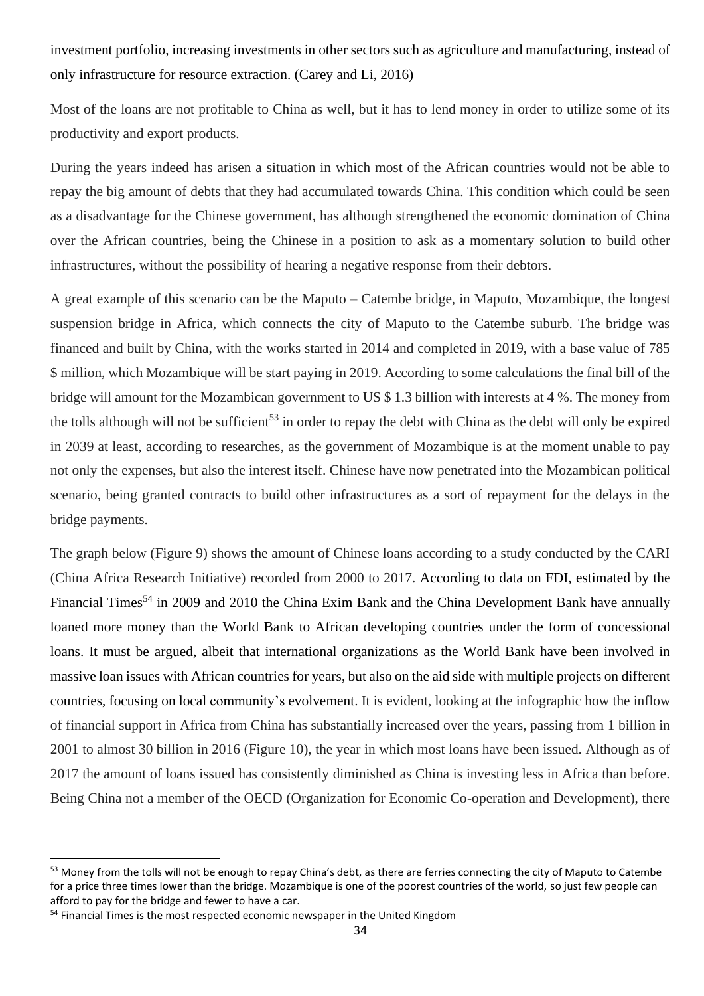investment portfolio, increasing investments in other sectors such as agriculture and manufacturing, instead of only infrastructure for resource extraction. (Carey and Li, 2016)

Most of the loans are not profitable to China as well, but it has to lend money in order to utilize some of its productivity and export products.

During the years indeed has arisen a situation in which most of the African countries would not be able to repay the big amount of debts that they had accumulated towards China. This condition which could be seen as a disadvantage for the Chinese government, has although strengthened the economic domination of China over the African countries, being the Chinese in a position to ask as a momentary solution to build other infrastructures, without the possibility of hearing a negative response from their debtors.

A great example of this scenario can be the Maputo – Catembe bridge, in Maputo, Mozambique, the longest suspension bridge in Africa, which connects the city of Maputo to the Catembe suburb. The bridge was financed and built by China, with the works started in 2014 and completed in 2019, with a base value of 785 \$ million, which Mozambique will be start paying in 2019. According to some calculations the final bill of the bridge will amount for the Mozambican government to US \$ 1.3 billion with interests at 4 %. The money from the tolls although will not be sufficient<sup>53</sup> in order to repay the debt with China as the debt will only be expired in 2039 at least, according to researches, as the government of Mozambique is at the moment unable to pay not only the expenses, but also the interest itself. Chinese have now penetrated into the Mozambican political scenario, being granted contracts to build other infrastructures as a sort of repayment for the delays in the bridge payments.

The graph below (Figure 9) shows the amount of Chinese loans according to a study conducted by the CARI (China Africa Research Initiative) recorded from 2000 to 2017. According to data on FDI, estimated by the Financial Times<sup>54</sup> in 2009 and 2010 the China Exim Bank and the China Development Bank have annually loaned more money than the World Bank to African developing countries under the form of concessional loans. It must be argued, albeit that international organizations as the World Bank have been involved in massive loan issues with African countries for years, but also on the aid side with multiple projects on different countries, focusing on local community's evolvement. It is evident, looking at the infographic how the inflow of financial support in Africa from China has substantially increased over the years, passing from 1 billion in 2001 to almost 30 billion in 2016 (Figure 10), the year in which most loans have been issued. Although as of 2017 the amount of loans issued has consistently diminished as China is investing less in Africa than before. Being China not a member of the OECD (Organization for Economic Co-operation and Development), there

<sup>53</sup> Money from the tolls will not be enough to repay China's debt, as there are ferries connecting the city of Maputo to Catembe for a price three times lower than the bridge. Mozambique is one of the poorest countries of the world, so just few people can afford to pay for the bridge and fewer to have a car.

<sup>&</sup>lt;sup>54</sup> Financial Times is the most respected economic newspaper in the United Kingdom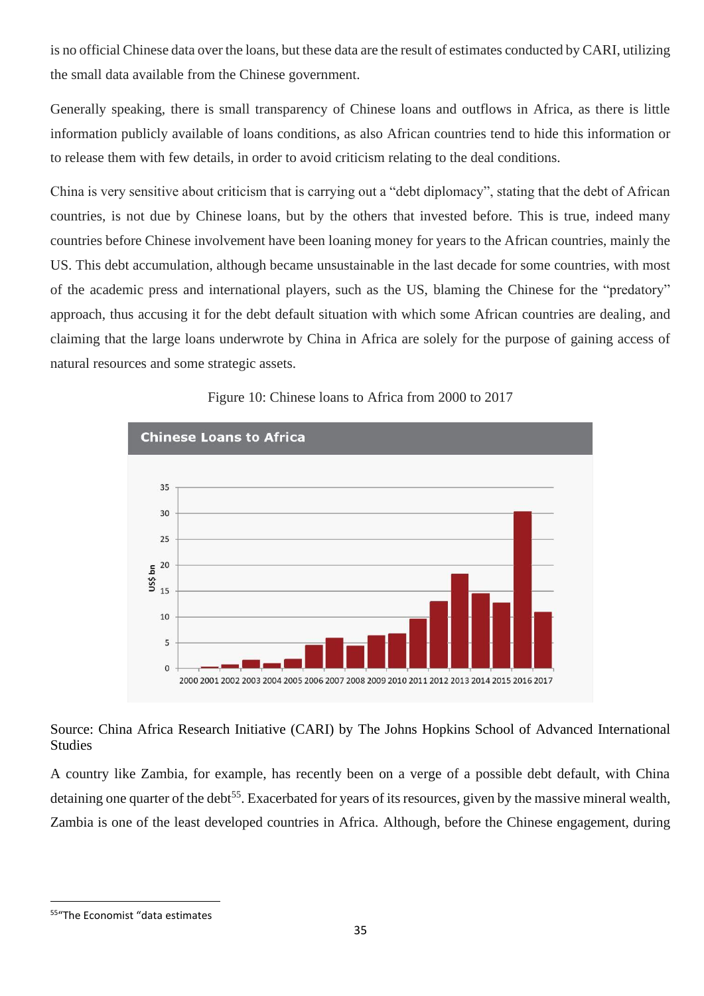is no official Chinese data over the loans, but these data are the result of estimates conducted by CARI, utilizing the small data available from the Chinese government.

Generally speaking, there is small transparency of Chinese loans and outflows in Africa, as there is little information publicly available of loans conditions, as also African countries tend to hide this information or to release them with few details, in order to avoid criticism relating to the deal conditions.

China is very sensitive about criticism that is carrying out a "debt diplomacy", stating that the debt of African countries, is not due by Chinese loans, but by the others that invested before. This is true, indeed many countries before Chinese involvement have been loaning money for years to the African countries, mainly the US. This debt accumulation, although became unsustainable in the last decade for some countries, with most of the academic press and international players, such as the US, blaming the Chinese for the "predatory" approach, thus accusing it for the debt default situation with which some African countries are dealing, and claiming that the large loans underwrote by China in Africa are solely for the purpose of gaining access of natural resources and some strategic assets.



Figure 10: Chinese loans to Africa from 2000 to 2017

Source: China Africa Research Initiative (CARI) by The Johns Hopkins School of Advanced International Studies

A country like Zambia, for example, has recently been on a verge of a possible debt default, with China detaining one quarter of the debt<sup>55</sup>. Exacerbated for years of its resources, given by the massive mineral wealth, Zambia is one of the least developed countries in Africa. Although, before the Chinese engagement, during

<sup>55</sup> "The Economist "data estimates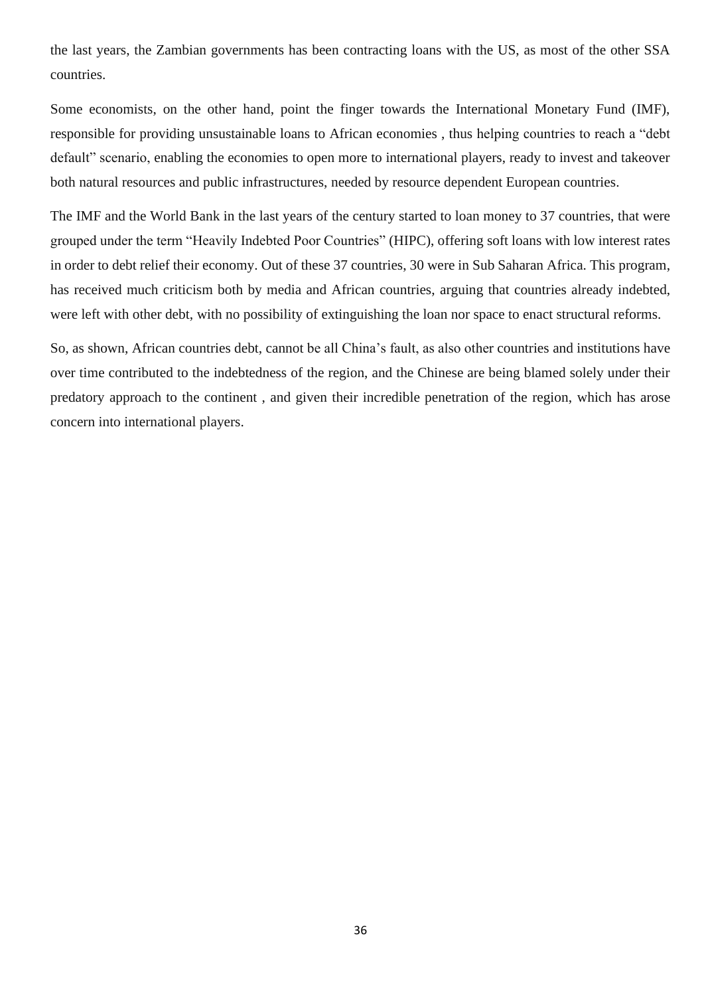the last years, the Zambian governments has been contracting loans with the US, as most of the other SSA countries.

Some economists, on the other hand, point the finger towards the International Monetary Fund (IMF), responsible for providing unsustainable loans to African economies , thus helping countries to reach a "debt default" scenario, enabling the economies to open more to international players, ready to invest and takeover both natural resources and public infrastructures, needed by resource dependent European countries.

The IMF and the World Bank in the last years of the century started to loan money to 37 countries, that were grouped under the term "Heavily Indebted Poor Countries" (HIPC), offering soft loans with low interest rates in order to debt relief their economy. Out of these 37 countries, 30 were in Sub Saharan Africa. This program, has received much criticism both by media and African countries, arguing that countries already indebted, were left with other debt, with no possibility of extinguishing the loan nor space to enact structural reforms.

So, as shown, African countries debt, cannot be all China's fault, as also other countries and institutions have over time contributed to the indebtedness of the region, and the Chinese are being blamed solely under their predatory approach to the continent , and given their incredible penetration of the region, which has arose concern into international players.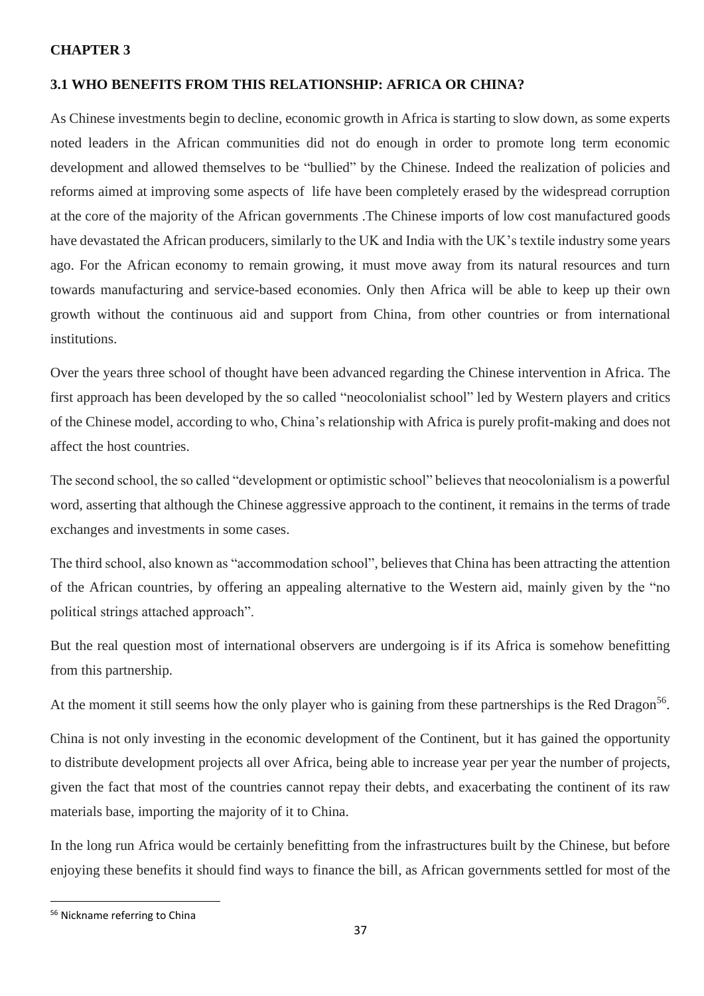#### **CHAPTER 3**

#### **3.1 WHO BENEFITS FROM THIS RELATIONSHIP: AFRICA OR CHINA?**

As Chinese investments begin to decline, economic growth in Africa is starting to slow down, as some experts noted leaders in the African communities did not do enough in order to promote long term economic development and allowed themselves to be "bullied" by the Chinese. Indeed the realization of policies and reforms aimed at improving some aspects of life have been completely erased by the widespread corruption at the core of the majority of the African governments .The Chinese imports of low cost manufactured goods have devastated the African producers, similarly to the UK and India with the UK's textile industry some years ago. For the African economy to remain growing, it must move away from its natural resources and turn towards manufacturing and service-based economies. Only then Africa will be able to keep up their own growth without the continuous aid and support from China, from other countries or from international institutions.

Over the years three school of thought have been advanced regarding the Chinese intervention in Africa. The first approach has been developed by the so called "neocolonialist school" led by Western players and critics of the Chinese model, according to who, China's relationship with Africa is purely profit-making and does not affect the host countries.

The second school, the so called "development or optimistic school" believes that neocolonialism is a powerful word, asserting that although the Chinese aggressive approach to the continent, it remains in the terms of trade exchanges and investments in some cases.

The third school, also known as "accommodation school", believes that China has been attracting the attention of the African countries, by offering an appealing alternative to the Western aid, mainly given by the "no political strings attached approach".

But the real question most of international observers are undergoing is if its Africa is somehow benefitting from this partnership.

At the moment it still seems how the only player who is gaining from these partnerships is the Red Dragon<sup>56</sup>.

China is not only investing in the economic development of the Continent, but it has gained the opportunity to distribute development projects all over Africa, being able to increase year per year the number of projects, given the fact that most of the countries cannot repay their debts, and exacerbating the continent of its raw materials base, importing the majority of it to China.

In the long run Africa would be certainly benefitting from the infrastructures built by the Chinese, but before enjoying these benefits it should find ways to finance the bill, as African governments settled for most of the

<sup>56</sup> Nickname referring to China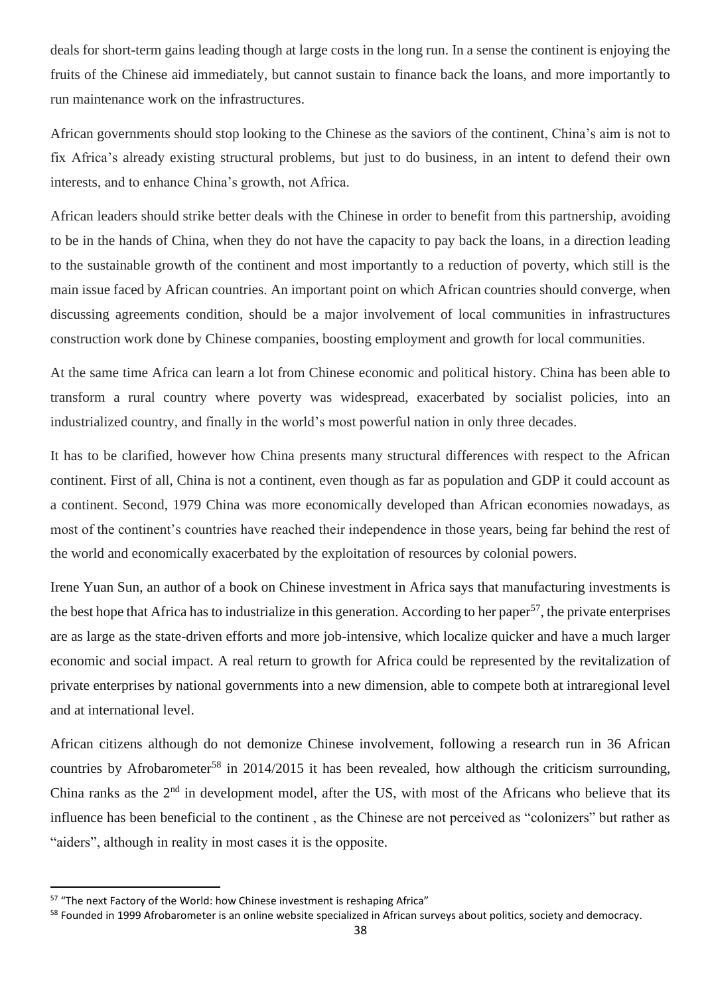deals for short-term gains leading though at large costs in the long run. In a sense the continent is enjoying the fruits of the Chinese aid immediately, but cannot sustain to finance back the loans, and more importantly to run maintenance work on the infrastructures.

African governments should stop looking to the Chinese as the saviors of the continent, China's aim is not to fix Africa's already existing structural problems, but just to do business, in an intent to defend their own interests, and to enhance China's growth, not Africa.

African leaders should strike better deals with the Chinese in order to benefit from this partnership, avoiding to be in the hands of China, when they do not have the capacity to pay back the loans, in a direction leading to the sustainable growth of the continent and most importantly to a reduction of poverty, which still is the main issue faced by African countries. An important point on which African countries should converge, when discussing agreements condition, should be a major involvement of local communities in infrastructures construction work done by Chinese companies, boosting employment and growth for local communities.

At the same time Africa can learn a lot from Chinese economic and political history. China has been able to transform a rural country where poverty was widespread, exacerbated by socialist policies, into an industrialized country, and finally in the world's most powerful nation in only three decades.

It has to be clarified, however how China presents many structural differences with respect to the African continent. First of all, China is not a continent, even though as far as population and GDP it could account as a continent. Second, 1979 China was more economically developed than African economies nowadays, as most of the continent's countries have reached their independence in those years, being far behind the rest of the world and economically exacerbated by the exploitation of resources by colonial powers.

Irene Yuan Sun, an author of a book on Chinese investment in Africa says that manufacturing investments is the best hope that Africa has to industrialize in this generation. According to her paper<sup>57</sup>, the private enterprises are as large as the state-driven efforts and more job-intensive, which localize quicker and have a much larger economic and social impact. A real return to growth for Africa could be represented by the revitalization of private enterprises by national governments into a new dimension, able to compete both at intraregional level and at international level.

African citizens although do not demonize Chinese involvement, following a research run in 36 African countries by Afrobarometer<sup>58</sup> in 2014/2015 it has been revealed, how although the criticism surrounding, China ranks as the 2<sup>nd</sup> in development model, after the US, with most of the Africans who believe that its influence has been beneficial to the continent , as the Chinese are not perceived as "colonizers" but rather as "aiders", although in reality in most cases it is the opposite.

<sup>&</sup>lt;sup>57</sup> "The next Factory of the World: how Chinese investment is reshaping Africa"

<sup>58</sup> Founded in 1999 Afrobarometer is an online website specialized in African surveys about politics, society and democracy.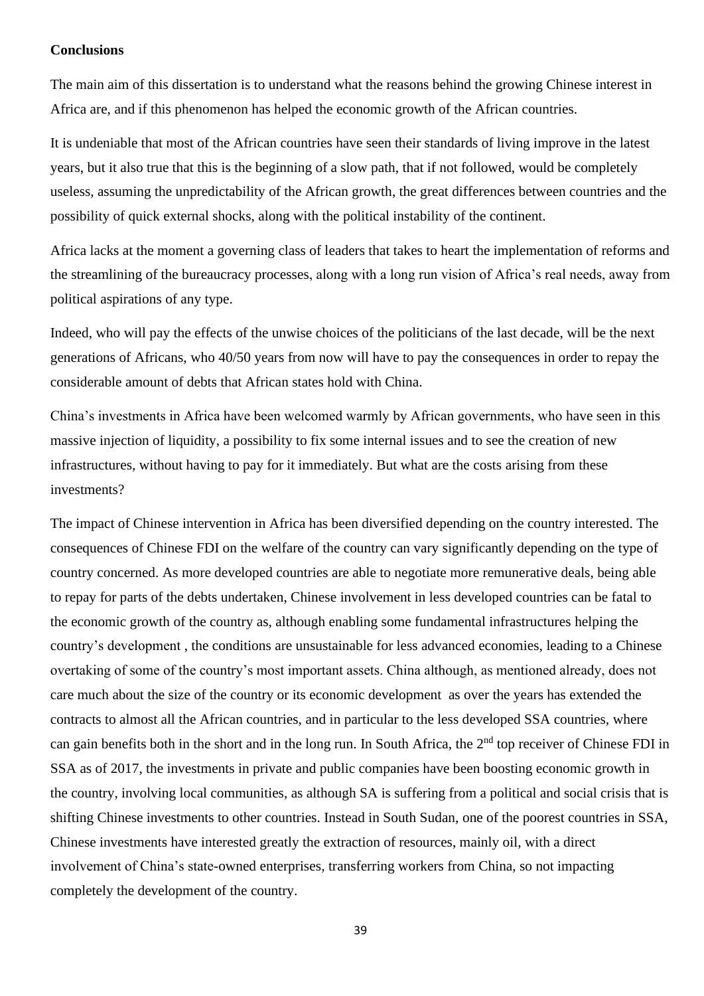#### **Conclusions**

The main aim of this dissertation is to understand what the reasons behind the growing Chinese interest in Africa are, and if this phenomenon has helped the economic growth of the African countries.

It is undeniable that most of the African countries have seen their standards of living improve in the latest years, but it also true that this is the beginning of a slow path, that if not followed, would be completely useless, assuming the unpredictability of the African growth, the great differences between countries and the possibility of quick external shocks, along with the political instability of the continent.

Africa lacks at the moment a governing class of leaders that takes to heart the implementation of reforms and the streamlining of the bureaucracy processes, along with a long run vision of Africa's real needs, away from political aspirations of any type.

Indeed, who will pay the effects of the unwise choices of the politicians of the last decade, will be the next generations of Africans, who 40/50 years from now will have to pay the consequences in order to repay the considerable amount of debts that African states hold with China.

China's investments in Africa have been welcomed warmly by African governments, who have seen in this massive injection of liquidity, a possibility to fix some internal issues and to see the creation of new infrastructures, without having to pay for it immediately. But what are the costs arising from these investments?

The impact of Chinese intervention in Africa has been diversified depending on the country interested. The consequences of Chinese FDI on the welfare of the country can vary significantly depending on the type of country concerned. As more developed countries are able to negotiate more remunerative deals, being able to repay for parts of the debts undertaken, Chinese involvement in less developed countries can be fatal to the economic growth of the country as, although enabling some fundamental infrastructures helping the country's development , the conditions are unsustainable for less advanced economies, leading to a Chinese overtaking of some of the country's most important assets. China although, as mentioned already, does not care much about the size of the country or its economic development as over the years has extended the contracts to almost all the African countries, and in particular to the less developed SSA countries, where can gain benefits both in the short and in the long run. In South Africa, the 2<sup>nd</sup> top receiver of Chinese FDI in SSA as of 2017, the investments in private and public companies have been boosting economic growth in the country, involving local communities, as although SA is suffering from a political and social crisis that is shifting Chinese investments to other countries. Instead in South Sudan, one of the poorest countries in SSA, Chinese investments have interested greatly the extraction of resources, mainly oil, with a direct involvement of China's state-owned enterprises, transferring workers from China, so not impacting completely the development of the country.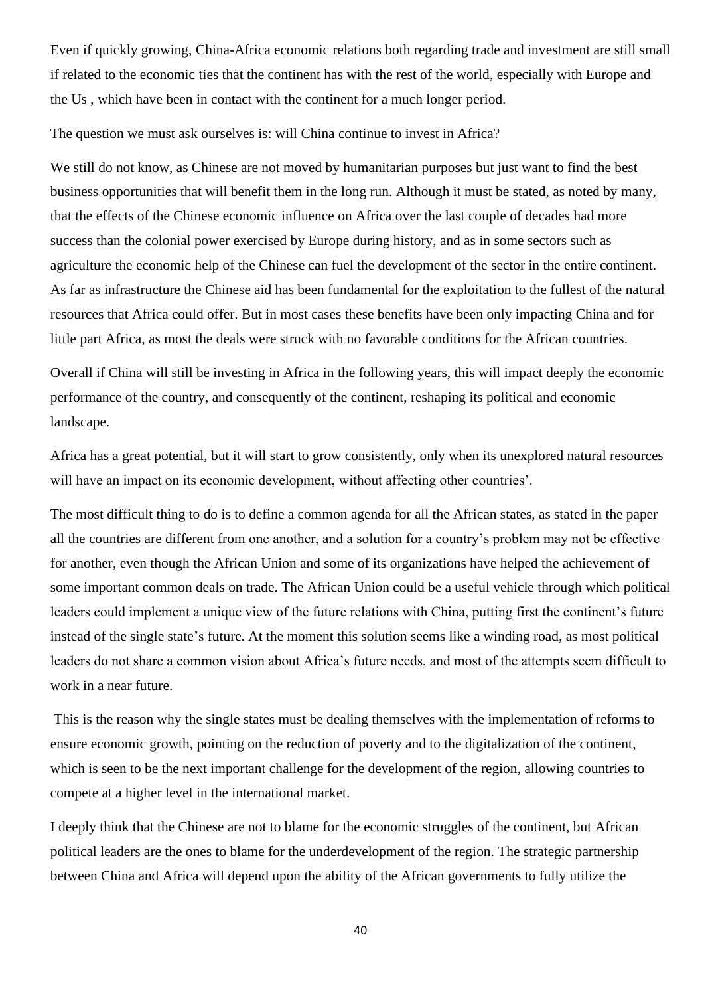Even if quickly growing, China-Africa economic relations both regarding trade and investment are still small if related to the economic ties that the continent has with the rest of the world, especially with Europe and the Us , which have been in contact with the continent for a much longer period.

The question we must ask ourselves is: will China continue to invest in Africa?

We still do not know, as Chinese are not moved by humanitarian purposes but just want to find the best business opportunities that will benefit them in the long run. Although it must be stated, as noted by many, that the effects of the Chinese economic influence on Africa over the last couple of decades had more success than the colonial power exercised by Europe during history, and as in some sectors such as agriculture the economic help of the Chinese can fuel the development of the sector in the entire continent. As far as infrastructure the Chinese aid has been fundamental for the exploitation to the fullest of the natural resources that Africa could offer. But in most cases these benefits have been only impacting China and for little part Africa, as most the deals were struck with no favorable conditions for the African countries.

Overall if China will still be investing in Africa in the following years, this will impact deeply the economic performance of the country, and consequently of the continent, reshaping its political and economic landscape.

Africa has a great potential, but it will start to grow consistently, only when its unexplored natural resources will have an impact on its economic development, without affecting other countries'.

The most difficult thing to do is to define a common agenda for all the African states, as stated in the paper all the countries are different from one another, and a solution for a country's problem may not be effective for another, even though the African Union and some of its organizations have helped the achievement of some important common deals on trade. The African Union could be a useful vehicle through which political leaders could implement a unique view of the future relations with China, putting first the continent's future instead of the single state's future. At the moment this solution seems like a winding road, as most political leaders do not share a common vision about Africa's future needs, and most of the attempts seem difficult to work in a near future.

This is the reason why the single states must be dealing themselves with the implementation of reforms to ensure economic growth, pointing on the reduction of poverty and to the digitalization of the continent, which is seen to be the next important challenge for the development of the region, allowing countries to compete at a higher level in the international market.

I deeply think that the Chinese are not to blame for the economic struggles of the continent, but African political leaders are the ones to blame for the underdevelopment of the region. The strategic partnership between China and Africa will depend upon the ability of the African governments to fully utilize the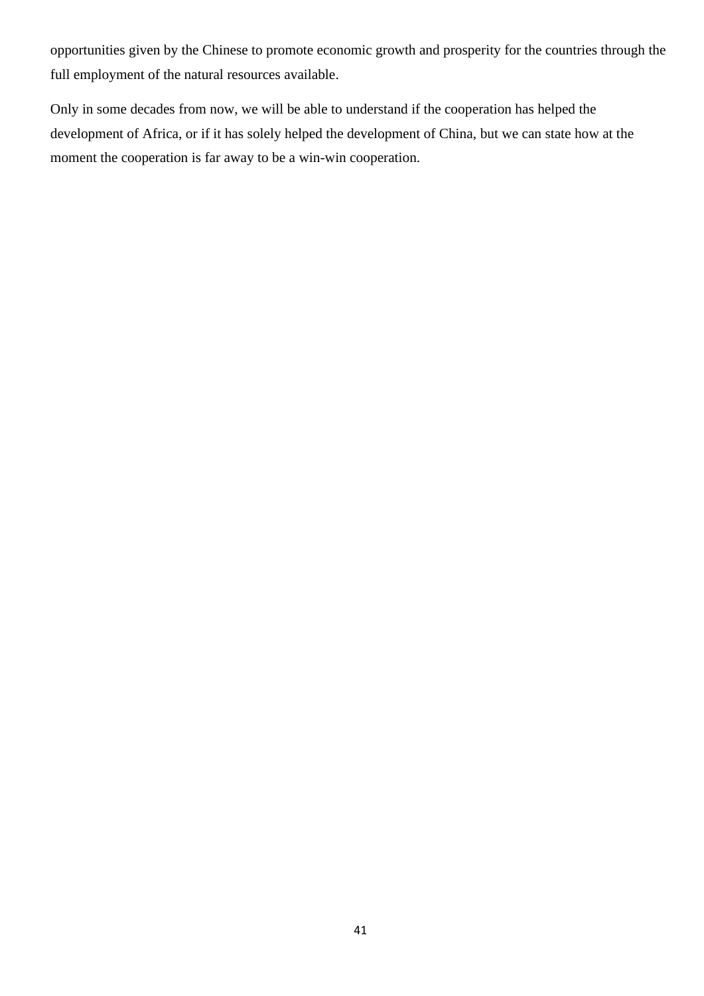opportunities given by the Chinese to promote economic growth and prosperity for the countries through the full employment of the natural resources available.

Only in some decades from now, we will be able to understand if the cooperation has helped the development of Africa, or if it has solely helped the development of China, but we can state how at the moment the cooperation is far away to be a win-win cooperation.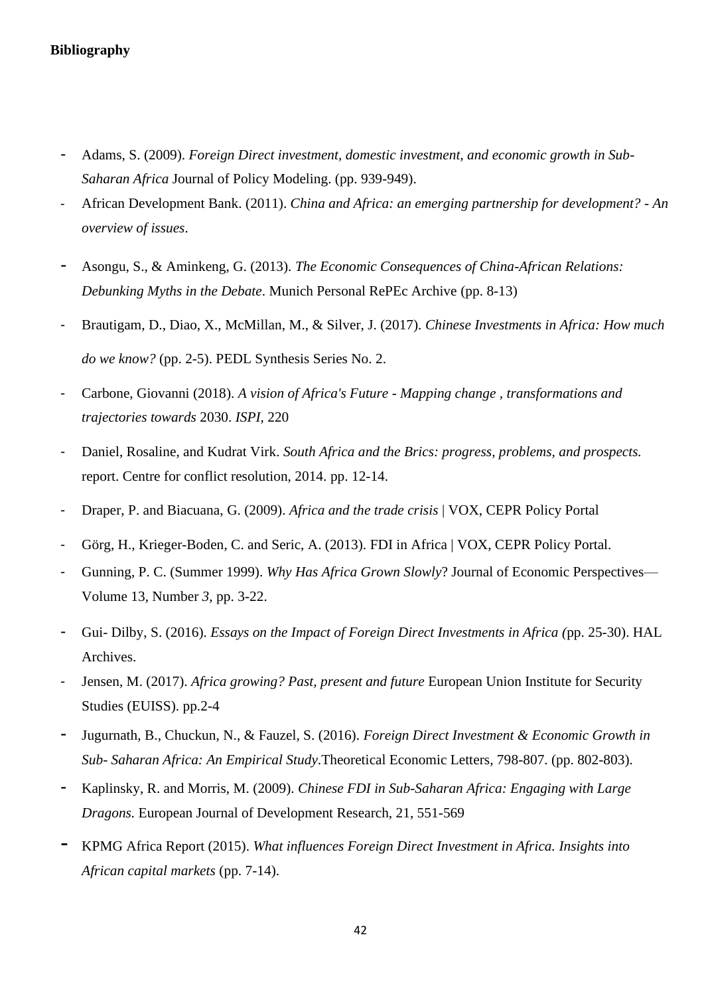#### **Bibliography**

- Adams, S. (2009). *Foreign Direct investment, domestic investment, and economic growth in Sub-Saharan Africa* Journal of Policy Modeling. (pp. 939-949).
- African Development Bank. (2011). *China and Africa: an emerging partnership for development? - An overview of issues*.
- Asongu, S., & Aminkeng, G. (2013). *The Economic Consequences of China-African Relations: Debunking Myths in the Debate*. Munich Personal RePEc Archive (pp. 8-13)
- Brautigam, D., Diao, X., McMillan, M., & Silver, J. (2017). *Chinese Investments in Africa: How much do we know?* (pp. 2-5). PEDL Synthesis Series No. 2.
- Carbone, Giovanni (2018). *A vision of Africa's Future - Mapping change , transformations and trajectories towards* 2030. *ISPI*, 220
- Daniel, Rosaline, and Kudrat Virk. *South Africa and the Brics: progress, problems, and prospects.* report. Centre for conflict resolution, 2014. pp. 12-14.
- Draper, P. and Biacuana, G. (2009). *Africa and the trade crisis* | VOX, CEPR Policy Portal
- Görg, H., Krieger-Boden, C. and Seric, A. (2013). FDI in Africa | VOX, CEPR Policy Portal.
- Gunning, P. C. (Summer 1999). *Why Has Africa Grown Slowly*? Journal of Economic Perspectives— Volume 13, Number *3*, pp. 3-22.
- Gui- Dilby, S. (2016). *Essays on the Impact of Foreign Direct Investments in Africa (*pp. 25-30). HAL Archives.
- Jensen, M. (2017). *Africa growing? Past, present and future* European Union Institute for Security Studies (EUISS). pp.2-4
- Jugurnath, B., Chuckun, N., & Fauzel, S. (2016). *Foreign Direct Investment & Economic Growth in Sub- Saharan Africa: An Empirical Study*.Theoretical Economic Letters, 798-807. (pp. 802-803).
- Kaplinsky, R. and Morris, M. (2009). *Chinese FDI in Sub-Saharan Africa: Engaging with Large Dragons.* European Journal of Development Research, 21, 551-569
- KPMG Africa Report (2015). *What influences Foreign Direct Investment in Africa. Insights into African capital markets* (pp. 7-14).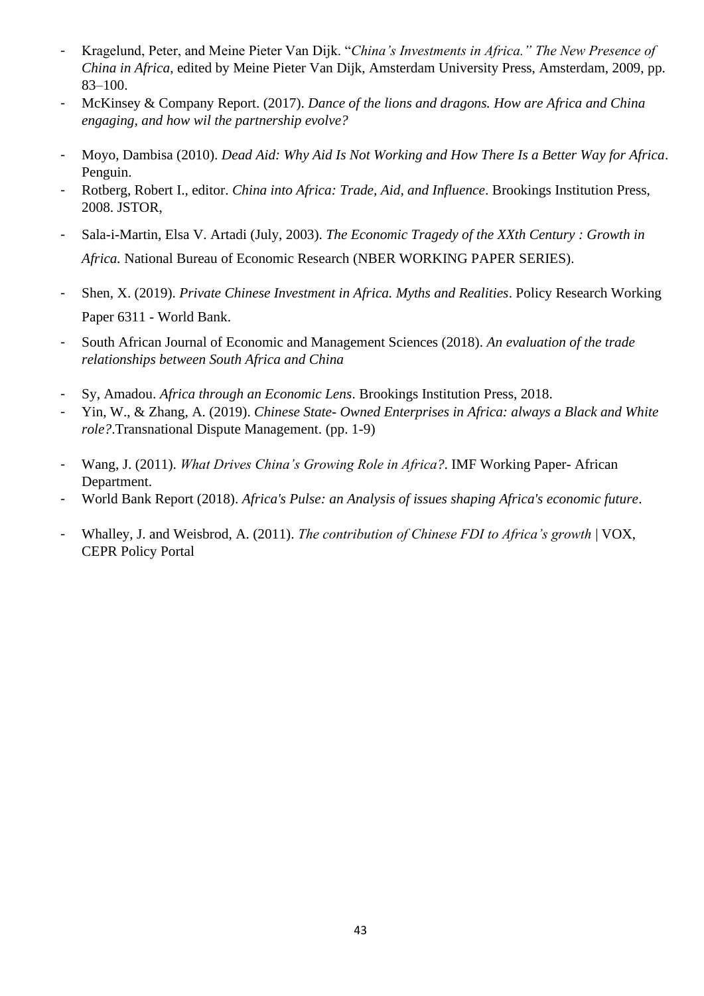- Kragelund, Peter, and Meine Pieter Van Dijk. "*China's Investments in Africa." The New Presence of China in Africa*, edited by Meine Pieter Van Dijk, Amsterdam University Press, Amsterdam, 2009, pp. 83–100.
- McKinsey & Company Report. (2017). *Dance of the lions and dragons. How are Africa and China engaging, and how wil the partnership evolve?*
- Moyo, Dambisa (2010). *Dead Aid: Why Aid Is Not Working and How There Is a Better Way for Africa*. Penguin.
- Rotberg, Robert I., editor. *China into Africa: Trade, Aid, and Influence*. Brookings Institution Press, 2008. JSTOR,
- Sala-i-Martin, Elsa V. Artadi (July, 2003). *The Economic Tragedy of the XXth Century : Growth in Africa.* National Bureau of Economic Research (NBER WORKING PAPER SERIES).
- Shen, X. (2019). *Private Chinese Investment in Africa. Myths and Realities*. Policy Research Working Paper 6311 - World Bank.
- South African Journal of Economic and Management Sciences (2018). *An evaluation of the trade relationships between South Africa and China*
- Sy, Amadou. *Africa through an Economic Lens*. Brookings Institution Press, 2018.
- Yin, W., & Zhang, A. (2019). *Chinese State- Owned Enterprises in Africa: always a Black and White role?*.Transnational Dispute Management. (pp. 1-9)
- Wang, J. (2011). *What Drives China's Growing Role in Africa?*. IMF Working Paper- African Department.
- World Bank Report (2018). *Africa's Pulse: an Analysis of issues shaping Africa's economic future*.
- Whalley, J. and Weisbrod, A. (2011). *The contribution of Chinese FDI to Africa's growth* | VOX, CEPR Policy Portal